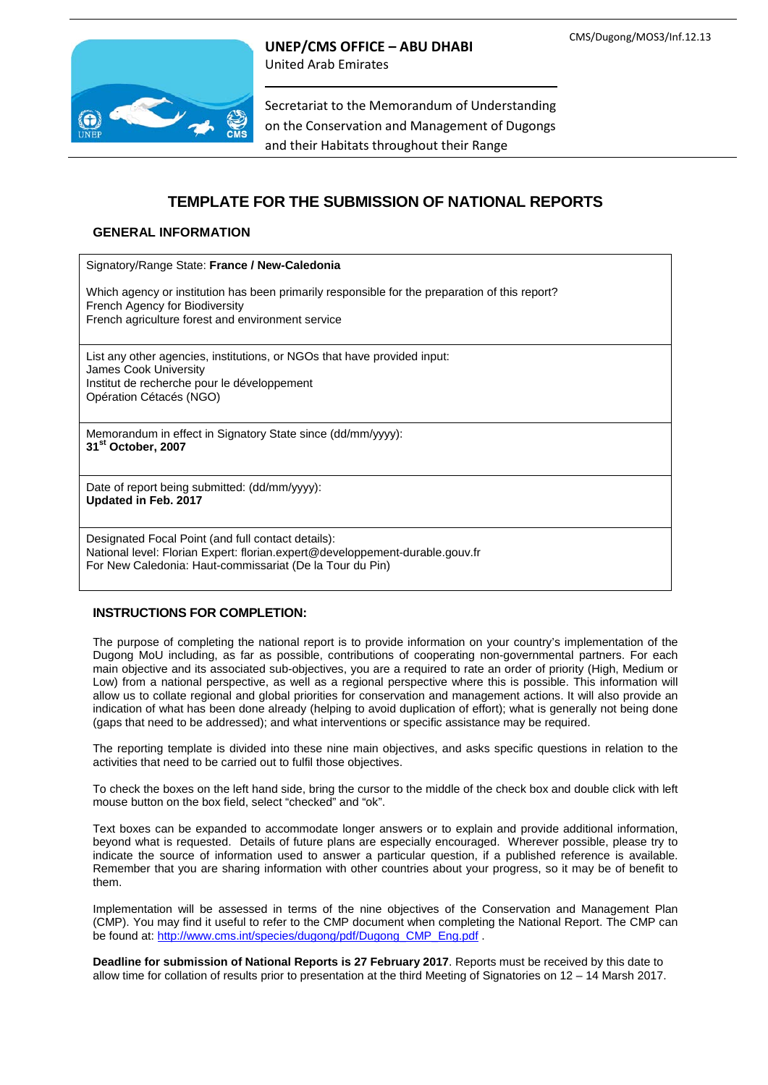

**UNEP/CMS OFFICE – ABU DHABI**

United Arab Emirates

Secretariat to the Memorandum of Understanding on the Conservation and Management of Dugongs and their Habitats throughout their Range

# **TEMPLATE FOR THE SUBMISSION OF NATIONAL REPORTS**

### **GENERAL INFORMATION**

Signatory/Range State: **France / New-Caledonia**

Which agency or institution has been primarily responsible for the preparation of this report? French Agency for Biodiversity

French agriculture forest and environment service

List any other agencies, institutions, or NGOs that have provided input: James Cook University Institut de recherche pour le développement Opération Cétacés (NGO)

Memorandum in effect in Signatory State since (dd/mm/yyyy): **31st October, 2007**

Date of report being submitted: (dd/mm/yyyy): **Updated in Feb. 2017**

Designated Focal Point (and full contact details): National level: Florian Expert: [florian.expert@developpement-durable.gouv.fr](mailto:florian.expert@developpement-durable.gouv.fr) For New Caledonia: Haut-commissariat (De la Tour du Pin)

### **INSTRUCTIONS FOR COMPLETION:**

The purpose of completing the national report is to provide information on your country's implementation of the Dugong MoU including, as far as possible, contributions of cooperating non-governmental partners. For each main objective and its associated sub-objectives, you are a required to rate an order of priority (High, Medium or Low) from a national perspective, as well as a regional perspective where this is possible. This information will allow us to collate regional and global priorities for conservation and management actions. It will also provide an indication of what has been done already (helping to avoid duplication of effort); what is generally not being done (gaps that need to be addressed); and what interventions or specific assistance may be required.

The reporting template is divided into these nine main objectives, and asks specific questions in relation to the activities that need to be carried out to fulfil those objectives.

To check the boxes on the left hand side, bring the cursor to the middle of the check box and double click with left mouse button on the box field, select "checked" and "ok".

Text boxes can be expanded to accommodate longer answers or to explain and provide additional information, beyond what is requested. Details of future plans are especially encouraged. Wherever possible, please try to indicate the source of information used to answer a particular question, if a published reference is available. Remember that you are sharing information with other countries about your progress, so it may be of benefit to them.

Implementation will be assessed in terms of the nine objectives of the Conservation and Management Plan (CMP). You may find it useful to refer to the CMP document when completing the National Report. The CMP can be found at: [http://www.cms.int/species/dugong/pdf/Dugong\\_CMP\\_Eng.pdf](http://www.cms.int/species/dugong/pdf/Dugong_CMP_Eng.pdf) .

**Deadline for submission of National Reports is 27 February 2017**. Reports must be received by this date to allow time for collation of results prior to presentation at the third Meeting of Signatories on 12 – 14 Marsh 2017.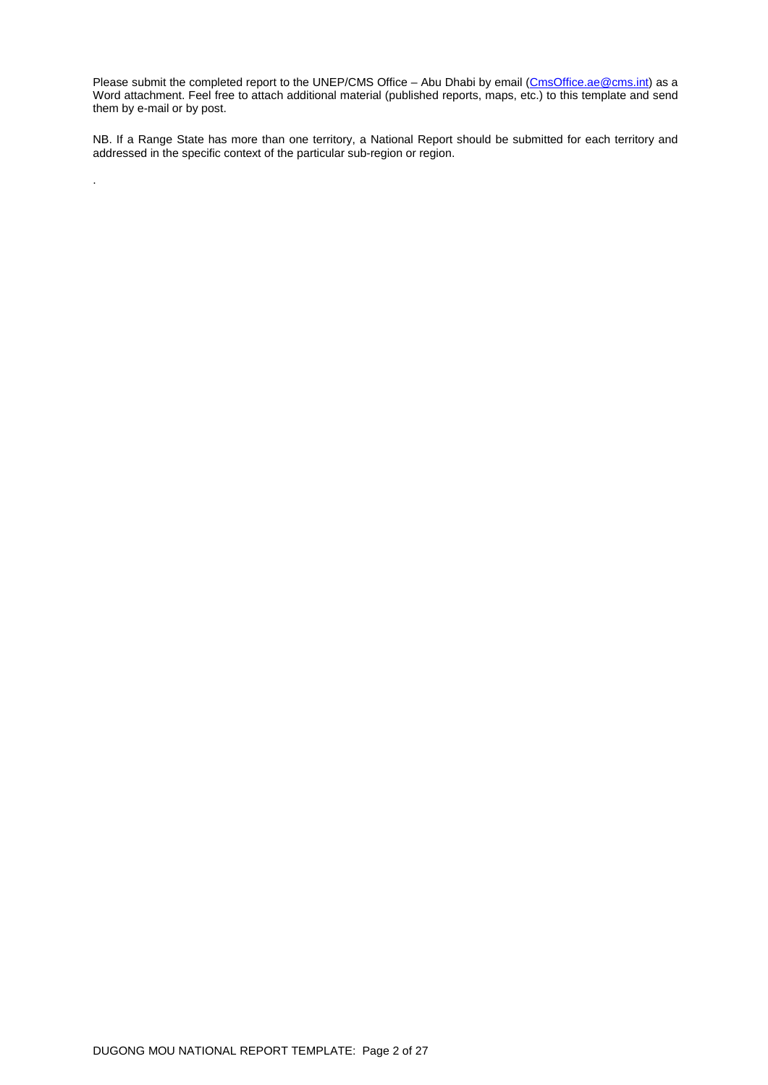Please submit the completed report to the UNEP/CMS Office - Abu Dhabi by email [\(CmsOffice.ae@cms.int\)](mailto:CmsOffice.ae@cms.int) as a Word attachment. Feel free to attach additional material (published reports, maps, etc.) to this template and send them by e-mail or by post.

NB. If a Range State has more than one territory, a National Report should be submitted for each territory and addressed in the specific context of the particular sub-region or region.

.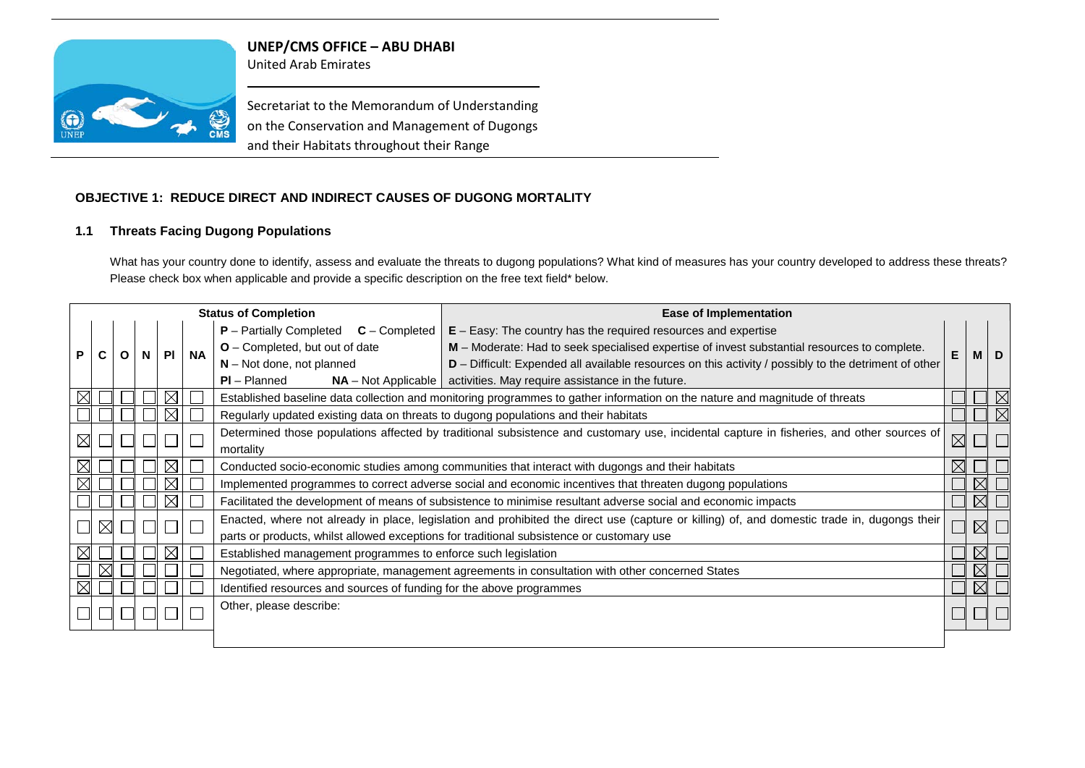

**UNEP/CMS OFFICE – ABU DHABI**

United Arab Emirates

Secretariat to the Memorandum of Understanding on the Conservation and Management of Dugongs and their Habitats throughout their Range

## **OBJECTIVE 1: REDUCE DIRECT AND INDIRECT CAUSES OF DUGONG MORTALITY**

### **1.1 Threats Facing Dugong Populations**

What has your country done to identify, assess and evaluate the threats to dugong populations? What kind of measures has your country developed to address these threats? Please check box when applicable and provide a specific description on the free text field\* below.

| <b>Status of Completion</b> |   |   |    |           | <b>Ease of Implementation</b>                                                                                                                                                                                                                                                                                                                                                                                                                                                                  |                                                                                                                                                                                                                                           |  |             |             |
|-----------------------------|---|---|----|-----------|------------------------------------------------------------------------------------------------------------------------------------------------------------------------------------------------------------------------------------------------------------------------------------------------------------------------------------------------------------------------------------------------------------------------------------------------------------------------------------------------|-------------------------------------------------------------------------------------------------------------------------------------------------------------------------------------------------------------------------------------------|--|-------------|-------------|
|                             | Ο | N | PI | <b>NA</b> | $E - E$ asy: The country has the required resources and expertise<br>$P -$ Partially Completed<br>$C$ – Completed<br>$O$ – Completed, but out of date<br>M - Moderate: Had to seek specialised expertise of invest substantial resources to complete.<br>$N - Not$ done, not planned<br>$D$ – Difficult: Expended all available resources on this activity / possibly to the detriment of other<br>$PI - Planned$<br>$NA$ – Not Applicable   activities. May require assistance in the future. |                                                                                                                                                                                                                                           |  |             |             |
|                             |   |   |    |           |                                                                                                                                                                                                                                                                                                                                                                                                                                                                                                | Established baseline data collection and monitoring programmes to gather information on the nature and magnitude of threats                                                                                                               |  |             | $\boxtimes$ |
|                             |   |   |    |           | Regularly updated existing data on threats to dugong populations and their habitats                                                                                                                                                                                                                                                                                                                                                                                                            |                                                                                                                                                                                                                                           |  |             | $\boxtimes$ |
|                             |   |   |    |           | Determined those populations affected by traditional subsistence and customary use, incidental capture in fisheries, and other sources of<br>$\boxtimes$<br>mortality                                                                                                                                                                                                                                                                                                                          |                                                                                                                                                                                                                                           |  |             |             |
|                             |   |   |    |           | $\boxtimes$<br>Conducted socio-economic studies among communities that interact with dugongs and their habitats                                                                                                                                                                                                                                                                                                                                                                                |                                                                                                                                                                                                                                           |  |             |             |
|                             |   |   |    |           | Implemented programmes to correct adverse social and economic incentives that threaten dugong populations                                                                                                                                                                                                                                                                                                                                                                                      |                                                                                                                                                                                                                                           |  |             |             |
|                             |   |   |    |           |                                                                                                                                                                                                                                                                                                                                                                                                                                                                                                | Facilitated the development of means of subsistence to minimise resultant adverse social and economic impacts                                                                                                                             |  | $\boxtimes$ |             |
|                             |   |   |    |           |                                                                                                                                                                                                                                                                                                                                                                                                                                                                                                | Enacted, where not already in place, legislation and prohibited the direct use (capture or killing) of, and domestic trade in, dugongs their<br>parts or products, whilst allowed exceptions for traditional subsistence or customary use |  | $\boxtimes$ |             |
|                             |   |   |    |           | Established management programmes to enforce such legislation                                                                                                                                                                                                                                                                                                                                                                                                                                  |                                                                                                                                                                                                                                           |  | $\boxtimes$ |             |
|                             |   |   |    |           |                                                                                                                                                                                                                                                                                                                                                                                                                                                                                                | Negotiated, where appropriate, management agreements in consultation with other concerned States                                                                                                                                          |  | $\bowtie$   |             |
|                             |   |   |    |           | Identified resources and sources of funding for the above programmes                                                                                                                                                                                                                                                                                                                                                                                                                           |                                                                                                                                                                                                                                           |  | $\boxtimes$ |             |
|                             |   |   |    |           | Other, please describe:                                                                                                                                                                                                                                                                                                                                                                                                                                                                        |                                                                                                                                                                                                                                           |  |             |             |
|                             |   |   |    |           |                                                                                                                                                                                                                                                                                                                                                                                                                                                                                                |                                                                                                                                                                                                                                           |  |             |             |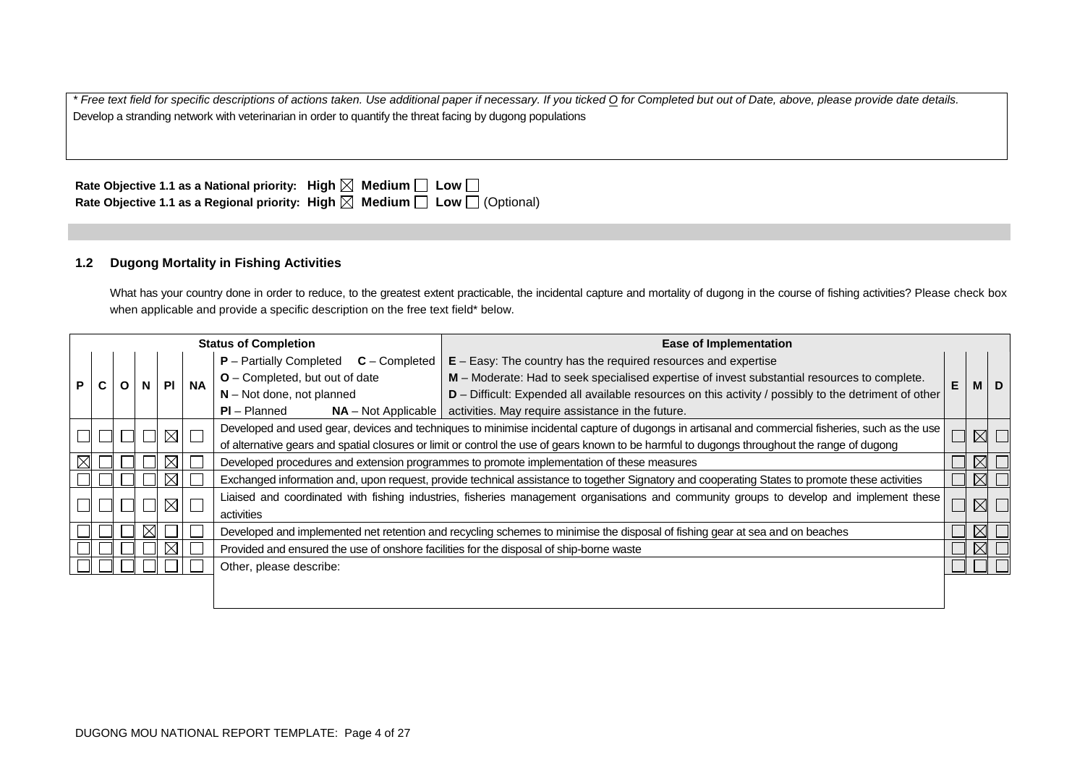*\* Free text field for specific descriptions of actions taken. Use additional paper if necessary. If you ticked O for Completed but out of Date, above, please provide date details.* Develop a stranding network with veterinarian in order to quantify the threat facing by dugong populations

| Rate Objective 1.1 as a National priority: High $\boxtimes$ Medium $\Box$ Low $\Box$ |                                                                                                 |
|--------------------------------------------------------------------------------------|-------------------------------------------------------------------------------------------------|
|                                                                                      | Rate Objective 1.1 as a Regional priority: High $\boxtimes$ Medium $\Box$ Low $\Box$ (Optional) |

### **1.2 Dugong Mortality in Fishing Activities**

What has your country done in order to reduce, to the greatest extent practicable, the incidental capture and mortality of dugong in the course of fishing activities? Please check box when applicable and provide a specific description on the free text field\* below.

|                                                                                                                                              |                                                                                                                                                                 | <b>Status of Completion</b> |           |                                |                                                                                              |                                                                                                                                                | <b>Ease of Implementation</b>                                                                                                           |   |  |             |
|----------------------------------------------------------------------------------------------------------------------------------------------|-----------------------------------------------------------------------------------------------------------------------------------------------------------------|-----------------------------|-----------|--------------------------------|----------------------------------------------------------------------------------------------|------------------------------------------------------------------------------------------------------------------------------------------------|-----------------------------------------------------------------------------------------------------------------------------------------|---|--|-------------|
|                                                                                                                                              |                                                                                                                                                                 |                             |           |                                |                                                                                              | $P -$ Partially Completed<br>$C$ – Completed                                                                                                   | $E - E$ asy: The country has the required resources and expertise                                                                       |   |  |             |
| P.                                                                                                                                           | <b>PI</b>                                                                                                                                                       |                             | <b>NA</b> | O - Completed, but out of date | M - Moderate: Had to seek specialised expertise of invest substantial resources to complete. | E                                                                                                                                              | M I                                                                                                                                     | D |  |             |
|                                                                                                                                              |                                                                                                                                                                 |                             |           |                                |                                                                                              | $N - Not$ done, not planned                                                                                                                    | D - Difficult: Expended all available resources on this activity / possibly to the detriment of other                                   |   |  |             |
|                                                                                                                                              |                                                                                                                                                                 |                             |           |                                |                                                                                              | $PI - Planned$<br>$NA - Not Applicable$                                                                                                        | activities. May require assistance in the future.                                                                                       |   |  |             |
|                                                                                                                                              | Developed and used gear, devices and techniques to minimise incidental capture of dugongs in artisanal and commercial fisheries, such as the use<br>$\boxtimes$ |                             |           | $\boxtimes$                    |                                                                                              |                                                                                                                                                |                                                                                                                                         |   |  |             |
| of alternative gears and spatial closures or limit or control the use of gears known to be harmful to dugongs throughout the range of dugong |                                                                                                                                                                 |                             |           |                                |                                                                                              |                                                                                                                                                |                                                                                                                                         |   |  |             |
|                                                                                                                                              |                                                                                                                                                                 |                             |           | $\boxtimes$                    |                                                                                              | Developed procedures and extension programmes to promote implementation of these measures                                                      |                                                                                                                                         |   |  |             |
|                                                                                                                                              |                                                                                                                                                                 |                             |           | $\boxtimes$                    |                                                                                              | Exchanged information and, upon request, provide technical assistance to together Signatory and cooperating States to promote these activities |                                                                                                                                         |   |  | $\boxtimes$ |
|                                                                                                                                              |                                                                                                                                                                 |                             |           | $\boxtimes$                    |                                                                                              |                                                                                                                                                | Liaised and coordinated with fishing industries, fisheries management organisations and community groups to develop and implement these |   |  |             |
|                                                                                                                                              |                                                                                                                                                                 |                             |           |                                |                                                                                              | activities                                                                                                                                     |                                                                                                                                         |   |  |             |
|                                                                                                                                              |                                                                                                                                                                 |                             |           |                                |                                                                                              |                                                                                                                                                | Developed and implemented net retention and recycling schemes to minimise the disposal of fishing gear at sea and on beaches            |   |  |             |
|                                                                                                                                              |                                                                                                                                                                 |                             |           | ⊠                              |                                                                                              | Provided and ensured the use of onshore facilities for the disposal of ship-borne waste                                                        |                                                                                                                                         |   |  |             |
|                                                                                                                                              |                                                                                                                                                                 |                             |           |                                |                                                                                              | Other, please describe:                                                                                                                        |                                                                                                                                         |   |  |             |
|                                                                                                                                              |                                                                                                                                                                 |                             |           |                                |                                                                                              |                                                                                                                                                |                                                                                                                                         |   |  |             |
|                                                                                                                                              |                                                                                                                                                                 |                             |           |                                |                                                                                              |                                                                                                                                                |                                                                                                                                         |   |  |             |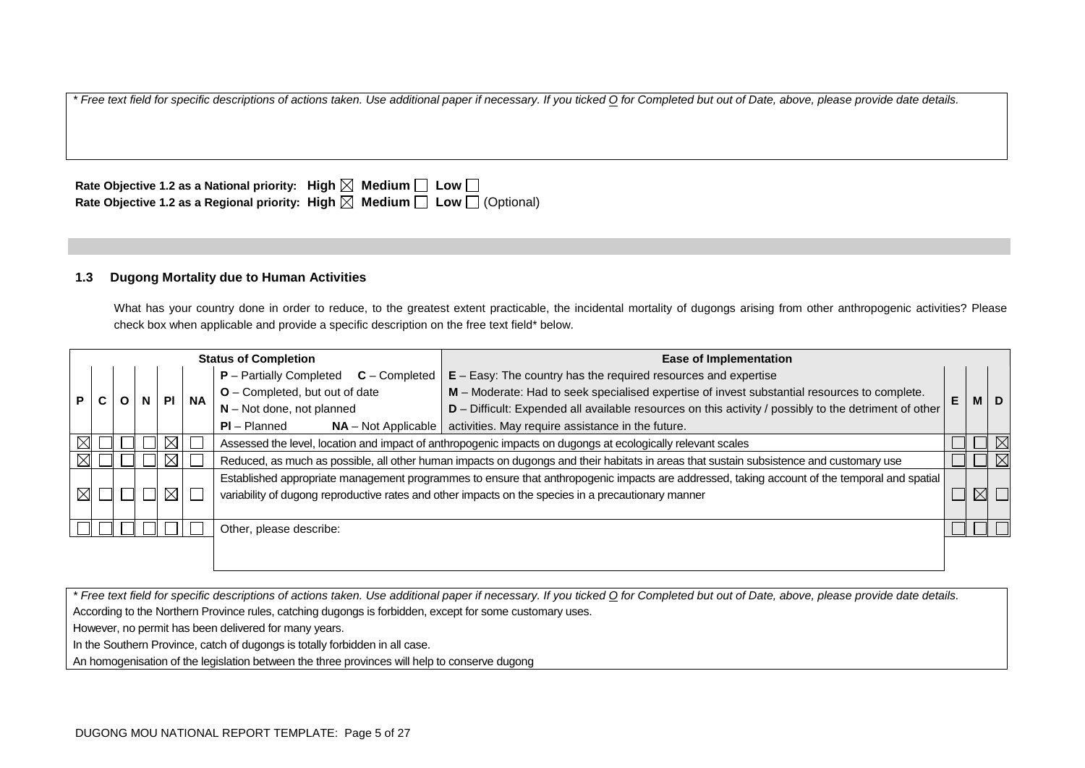| Rate Objective 1.2 as a National priority: High $\boxtimes$ Medium $\Box$ Low $\Box$ |                                                                                                 |
|--------------------------------------------------------------------------------------|-------------------------------------------------------------------------------------------------|
|                                                                                      | Rate Objective 1.2 as a Regional priority: High $\boxtimes$ Medium $\Box$ Low $\Box$ (Optional) |

#### **1.3 Dugong Mortality due to Human Activities**

What has your country done in order to reduce, to the greatest extent practicable, the incidental mortality of dugongs arising from other anthropogenic activities? Please check box when applicable and provide a specific description on the free text field\* below.

|             | <b>Status of Completion</b>       |  |                             |                                                                                                       | <b>Ease of Implementation</b>                                                                                                           |                                                                                                                                              |   |            |             |
|-------------|-----------------------------------|--|-----------------------------|-------------------------------------------------------------------------------------------------------|-----------------------------------------------------------------------------------------------------------------------------------------|----------------------------------------------------------------------------------------------------------------------------------------------|---|------------|-------------|
|             |                                   |  |                             |                                                                                                       | $P -$ Partially Completed<br>$C$ – Completed                                                                                            | $E - E$ asy: The country has the required resources and expertise                                                                            |   |            |             |
|             | <b>NA</b><br><b>PI</b><br>P.<br>N |  |                             |                                                                                                       | O - Completed, but out of date                                                                                                          | M - Moderate: Had to seek specialised expertise of invest substantial resources to complete.                                                 | E | <b>MID</b> |             |
|             |                                   |  | $N - Not$ done, not planned | D - Difficult: Expended all available resources on this activity / possibly to the detriment of other |                                                                                                                                         |                                                                                                                                              |   |            |             |
|             |                                   |  |                             |                                                                                                       | $PI - Planned$<br>$NA - Not Applicable$                                                                                                 | activities. May require assistance in the future.                                                                                            |   |            |             |
|             |                                   |  |                             |                                                                                                       | Assessed the level, location and impact of anthropogenic impacts on dugongs at ecologically relevant scales                             |                                                                                                                                              |   |            |             |
|             |                                   |  |                             |                                                                                                       | Reduced, as much as possible, all other human impacts on dugongs and their habitats in areas that sustain subsistence and customary use |                                                                                                                                              |   |            | $\boxtimes$ |
|             |                                   |  |                             |                                                                                                       |                                                                                                                                         | Established appropriate management programmes to ensure that anthropogenic impacts are addressed, taking account of the temporal and spatial |   |            |             |
| $\boxtimes$ |                                   |  |                             | ⊠                                                                                                     |                                                                                                                                         | variability of dugong reproductive rates and other impacts on the species in a precautionary manner                                          |   |            |             |
|             |                                   |  |                             |                                                                                                       |                                                                                                                                         |                                                                                                                                              |   |            |             |
|             |                                   |  |                             |                                                                                                       | Other, please describe:                                                                                                                 |                                                                                                                                              |   |            |             |
|             |                                   |  |                             |                                                                                                       |                                                                                                                                         |                                                                                                                                              |   |            |             |

*\* Free text field for specific descriptions of actions taken. Use additional paper if necessary. If you ticked O for Completed but out of Date, above, please provide date details.* According to the Northern Province rules, catching dugongs is forbidden, except for some customary uses. However, no permit has been delivered for many years.

In the Southern Province, catch of dugongs is totally forbidden in all case.

An homogenisation of the legislation between the three provinces will help to conserve dugong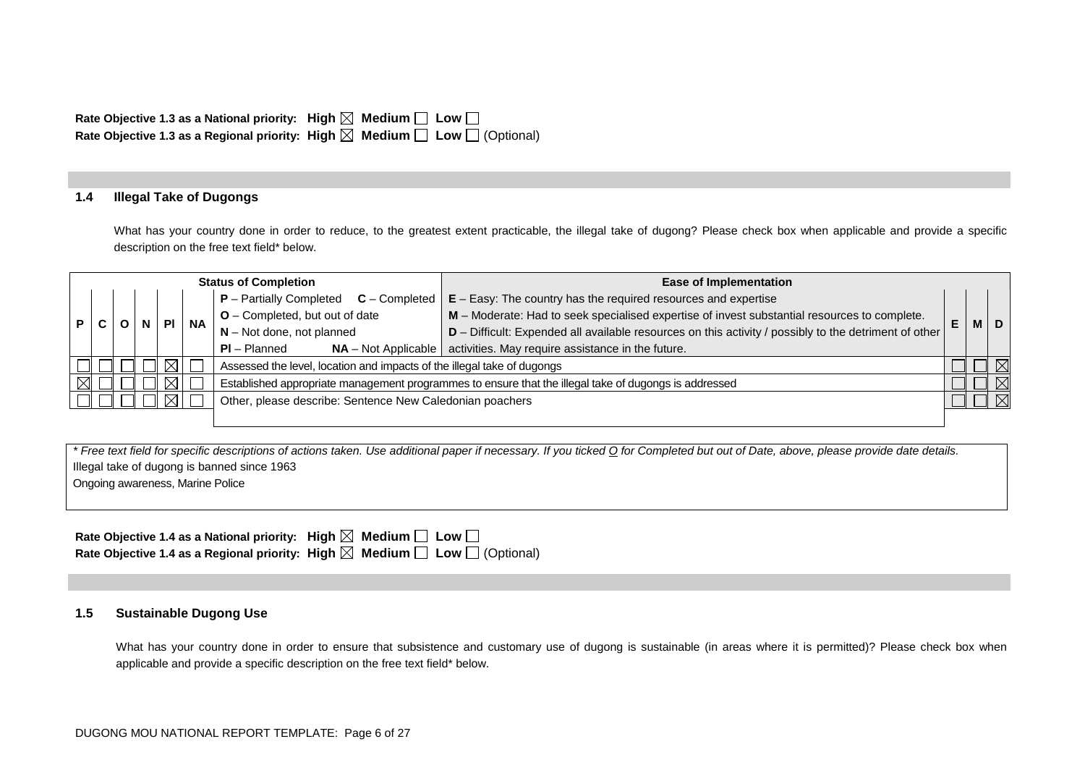| Rate Objective 1.3 as a National priority: High $\boxtimes$ Medium $\Box$ Low $\Box$ |                                                                                                 |
|--------------------------------------------------------------------------------------|-------------------------------------------------------------------------------------------------|
|                                                                                      | Rate Objective 1.3 as a Regional priority: High $\boxtimes$ Medium $\Box$ Low $\Box$ (Optional) |

### **1.4 Illegal Take of Dugongs**

What has your country done in order to reduce, to the greatest extent practicable, the illegal take of dugong? Please check box when applicable and provide a specific description on the free text field\* below.

|   | <b>Status of Completion</b> |  |             | <b>Ease of Implementation</b> |                                                                                                       |                                                                                                       |    |  |             |
|---|-----------------------------|--|-------------|-------------------------------|-------------------------------------------------------------------------------------------------------|-------------------------------------------------------------------------------------------------------|----|--|-------------|
|   |                             |  |             |                               | $P$ – Partially Completed $C$ – Completed                                                             | $E - E$ asy: The country has the required resources and expertise                                     |    |  |             |
| P |                             |  | <b>PI</b>   | <b>NA</b>                     | $O$ – Completed, but out of date                                                                      | M - Moderate: Had to seek specialised expertise of invest substantial resources to complete.          | E. |  | M   D       |
|   |                             |  |             |                               | $N - Not$ done, not planned                                                                           | D - Difficult: Expended all available resources on this activity / possibly to the detriment of other |    |  |             |
|   |                             |  |             |                               | $PI - Planned$<br>$NA - Not Applicable$                                                               | activities. May require assistance in the future.                                                     |    |  |             |
|   |                             |  | $\boxtimes$ |                               | Assessed the level, location and impacts of the illegal take of dugongs                               |                                                                                                       |    |  | $\boxtimes$ |
|   |                             |  | $\boxtimes$ |                               | Established appropriate management programmes to ensure that the illegal take of dugongs is addressed |                                                                                                       |    |  | $\boxtimes$ |
|   |                             |  | ⊠           |                               | Other, please describe: Sentence New Caledonian poachers                                              |                                                                                                       |    |  |             |
|   |                             |  |             |                               |                                                                                                       |                                                                                                       |    |  |             |

*\* Free text field for specific descriptions of actions taken. Use additional paper if necessary. If you ticked O for Completed but out of Date, above, please provide date details.* Illegal take of dugong is banned since 1963 Ongoing awareness, Marine Police

| Rate Objective 1.4 as a National priority: High $\boxtimes$ Medium $\Box$ Low $\Box$            |  |
|-------------------------------------------------------------------------------------------------|--|
| Rate Objective 1.4 as a Regional priority: High $\boxtimes$ Medium $\Box$ Low $\Box$ (Optional) |  |

#### **1.5 Sustainable Dugong Use**

What has your country done in order to ensure that subsistence and customary use of dugong is sustainable (in areas where it is permitted)? Please check box when applicable and provide a specific description on the free text field\* below.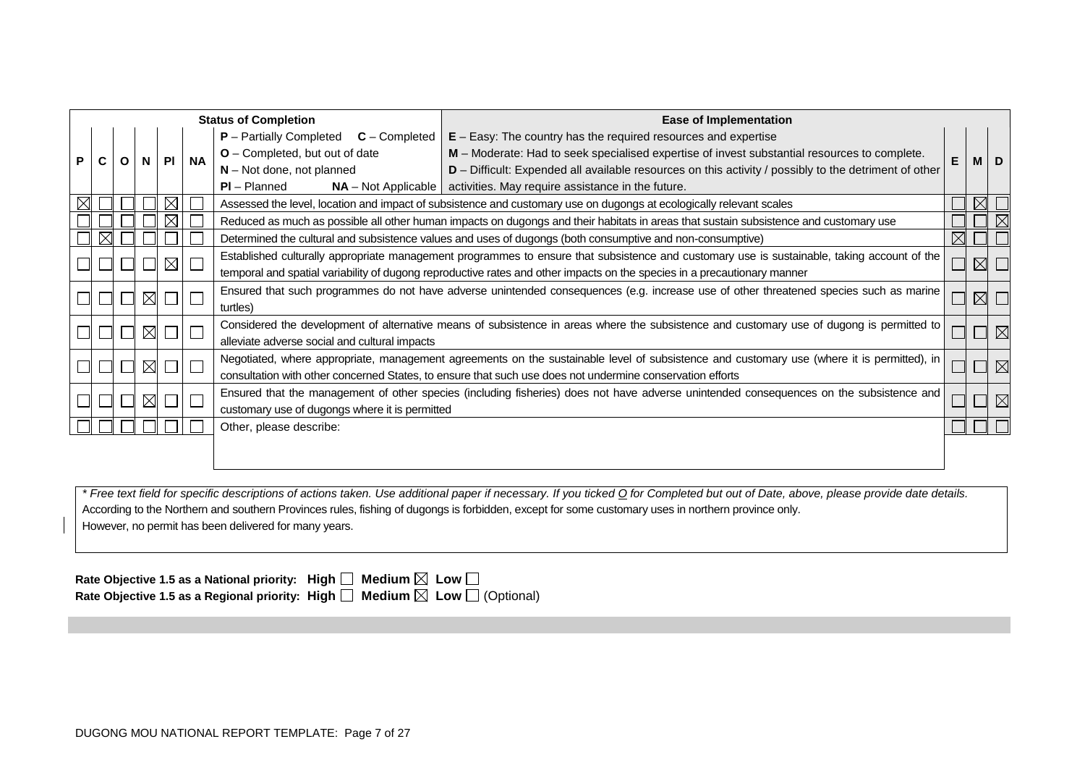|   | <b>Status of Completion</b> |  |             |             |           | <b>Ease of Implementation</b>                                                                                                                                                                                                                                                                                                                                                                                                                                                                |                                                                                                                                                                                                                                                         |  |  |             |
|---|-----------------------------|--|-------------|-------------|-----------|----------------------------------------------------------------------------------------------------------------------------------------------------------------------------------------------------------------------------------------------------------------------------------------------------------------------------------------------------------------------------------------------------------------------------------------------------------------------------------------------|---------------------------------------------------------------------------------------------------------------------------------------------------------------------------------------------------------------------------------------------------------|--|--|-------------|
| Р |                             |  |             | PI          | <b>NA</b> | $E - E$ asy: The country has the required resources and expertise<br>$P -$ Partially Completed<br>$C$ – Completed<br>O - Completed, but out of date<br>M – Moderate: Had to seek specialised expertise of invest substantial resources to complete.<br>$N - Not$ done, not planned<br>$D$ – Difficult: Expended all available resources on this activity / possibly to the detriment of other<br>$PI - Planned$<br>$NA$ – Not Applicable   activities. May require assistance in the future. |                                                                                                                                                                                                                                                         |  |  |             |
|   |                             |  |             | $\boxtimes$ |           |                                                                                                                                                                                                                                                                                                                                                                                                                                                                                              | Assessed the level, location and impact of subsistence and customary use on dugongs at ecologically relevant scales                                                                                                                                     |  |  |             |
|   |                             |  |             | X           |           | Reduced as much as possible all other human impacts on dugongs and their habitats in areas that sustain subsistence and customary use                                                                                                                                                                                                                                                                                                                                                        |                                                                                                                                                                                                                                                         |  |  |             |
|   |                             |  |             |             |           |                                                                                                                                                                                                                                                                                                                                                                                                                                                                                              | $\times$<br>Determined the cultural and subsistence values and uses of dugongs (both consumptive and non-consumptive)                                                                                                                                   |  |  |             |
|   |                             |  |             | $\boxtimes$ |           | Established culturally appropriate management programmes to ensure that subsistence and customary use is sustainable, taking account of the<br>temporal and spatial variability of dugong reproductive rates and other impacts on the species in a precautionary manner                                                                                                                                                                                                                      |                                                                                                                                                                                                                                                         |  |  | $\boxtimes$ |
|   |                             |  | ⊠           |             |           | Ensured that such programmes do not have adverse unintended consequences (e.g. increase use of other threatened species such as marine<br>turtles)                                                                                                                                                                                                                                                                                                                                           |                                                                                                                                                                                                                                                         |  |  | $\boxtimes$ |
|   |                             |  | $\boxtimes$ |             |           | alleviate adverse social and cultural impacts                                                                                                                                                                                                                                                                                                                                                                                                                                                | Considered the development of alternative means of subsistence in areas where the subsistence and customary use of dugong is permitted to                                                                                                               |  |  | $\boxtimes$ |
|   |                             |  | $\boxtimes$ |             |           |                                                                                                                                                                                                                                                                                                                                                                                                                                                                                              | Negotiated, where appropriate, management agreements on the sustainable level of subsistence and customary use (where it is permitted), in<br>consultation with other concerned States, to ensure that such use does not undermine conservation efforts |  |  | $\boxtimes$ |
|   |                             |  | $\boxtimes$ |             |           | Ensured that the management of other species (including fisheries) does not have adverse unintended consequences on the subsistence and<br>customary use of dugongs where it is permitted                                                                                                                                                                                                                                                                                                    |                                                                                                                                                                                                                                                         |  |  | $\boxtimes$ |
|   |                             |  |             |             |           | Other, please describe:                                                                                                                                                                                                                                                                                                                                                                                                                                                                      |                                                                                                                                                                                                                                                         |  |  |             |
|   |                             |  |             |             |           |                                                                                                                                                                                                                                                                                                                                                                                                                                                                                              |                                                                                                                                                                                                                                                         |  |  |             |

*\* Free text field for specific descriptions of actions taken. Use additional paper if necessary. If you ticked O for Completed but out of Date, above, please provide date details.* According to the Northern and southern Provinces rules, fishing of dugongs is forbidden, except for some customary uses in northern province only. However, no permit has been delivered for many years.

Rate Objective 1.5 as a National priority: High  $\square$  Medium  $\boxtimes$  Low  $\square$ Rate Objective 1.5 as a Regional priority: High  $\Box$  Medium  $\boxtimes$  Low  $\Box$  (Optional)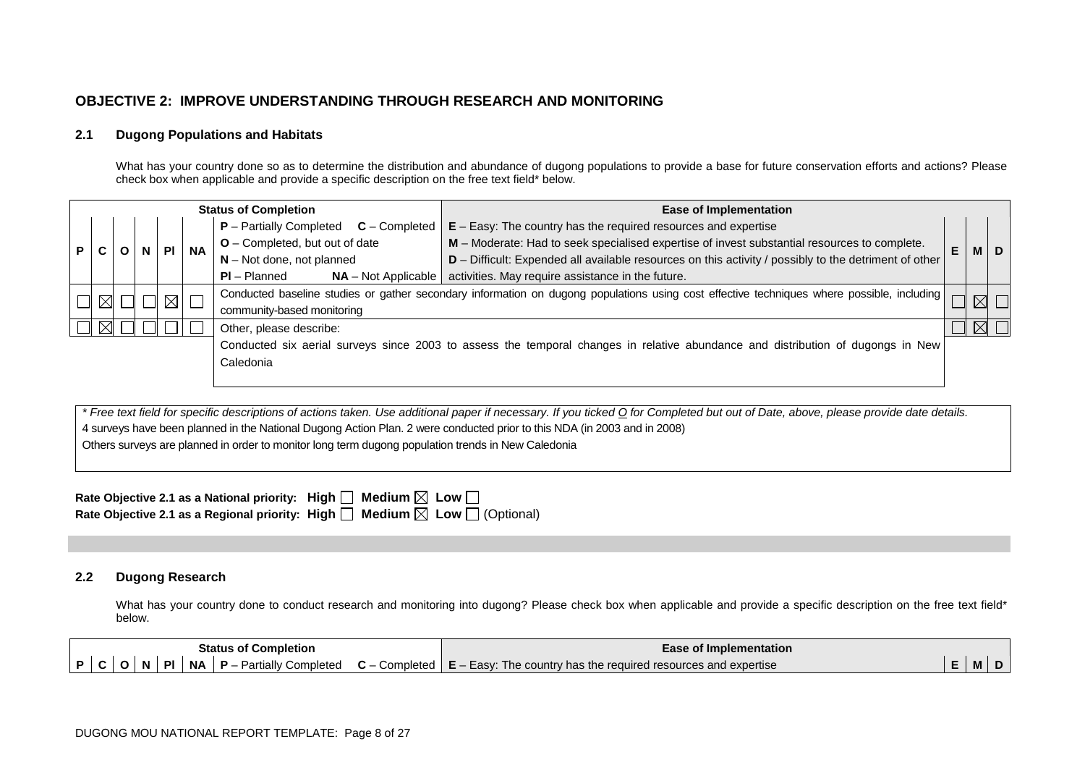## **OBJECTIVE 2: IMPROVE UNDERSTANDING THROUGH RESEARCH AND MONITORING**

#### **2.1 Dugong Populations and Habitats**

What has your country done so as to determine the distribution and abundance of dugong populations to provide a base for future conservation efforts and actions? Please check box when applicable and provide a specific description on the free text field\* below.

| <b>Status of Completion</b>               |  |  |                            |                                | <b>Ease of Implementation</b>                                                                         |                       |                                                                                                                                                                                                                                                                                    |                  |
|-------------------------------------------|--|--|----------------------------|--------------------------------|-------------------------------------------------------------------------------------------------------|-----------------------|------------------------------------------------------------------------------------------------------------------------------------------------------------------------------------------------------------------------------------------------------------------------------------|------------------|
|                                           |  |  | <b>NA</b>                  |                                | $E - E$ asy: The country has the required resources and expertise                                     |                       |                                                                                                                                                                                                                                                                                    |                  |
|                                           |  |  |                            | O - Completed, but out of date | M - Moderate: Had to seek specialised expertise of invest substantial resources to complete.          |                       |                                                                                                                                                                                                                                                                                    |                  |
|                                           |  |  |                            | $N - Not$ done, not planned    | D - Difficult: Expended all available resources on this activity / possibly to the detriment of other |                       |                                                                                                                                                                                                                                                                                    |                  |
|                                           |  |  |                            | $PI - Planned$                 | activities. May require assistance in the future.                                                     |                       |                                                                                                                                                                                                                                                                                    |                  |
| $\boxtimes$ $\blacksquare$<br>$\boxtimes$ |  |  |                            |                                |                                                                                                       |                       |                                                                                                                                                                                                                                                                                    |                  |
|                                           |  |  | community-based monitoring |                                |                                                                                                       |                       |                                                                                                                                                                                                                                                                                    |                  |
|                                           |  |  |                            | Other, please describe:        |                                                                                                       |                       |                                                                                                                                                                                                                                                                                    |                  |
|                                           |  |  |                            |                                |                                                                                                       |                       |                                                                                                                                                                                                                                                                                    |                  |
| Caledonia                                 |  |  |                            |                                |                                                                                                       |                       |                                                                                                                                                                                                                                                                                    |                  |
|                                           |  |  |                            |                                |                                                                                                       |                       |                                                                                                                                                                                                                                                                                    |                  |
|                                           |  |  |                            | $\Box$                         | $P$ – Partially Completed $C$ – Completed                                                             | $NA - Not Applicable$ | E<br>Conducted baseline studies or gather secondary information on dugong populations using cost effective techniques where possible, including<br>Conducted six aerial surveys since 2003 to assess the temporal changes in relative abundance and distribution of dugongs in New | <b>MID</b><br>ΔI |

*\* Free text field for specific descriptions of actions taken. Use additional paper if necessary. If you ticked O for Completed but out of Date, above, please provide date details.* 4 surveys have been planned in the National Dugong Action Plan. 2 were conducted prior to this NDA (in 2003 and in 2008) Others surveys are planned in order to monitor long term dugong population trends in New Caledonia

| Rate Objective 2.1 as a National priority: High $\Box$ Medium $\boxtimes$ Low $\Box$            |  |
|-------------------------------------------------------------------------------------------------|--|
| Rate Objective 2.1 as a Regional priority: High $\Box$ Medium $\boxtimes$ Low $\Box$ (Optional) |  |

### **2.2 Dugong Research**

What has your country done to conduct research and monitoring into dugong? Please check box when applicable and provide a specific description on the free text field\* below.

|  | <b>Status of Completion</b> | <b>Ease of Implementation</b>                                                                                                                                         |    |  |
|--|-----------------------------|-----------------------------------------------------------------------------------------------------------------------------------------------------------------------|----|--|
|  |                             | $\mid P \mid C \mid O \mid N \mid Pl \mid NA \mid P$ – Partially Completed $\mid C$ – Completed $\mid E$ – Easy: The country has the required resources and expertise | M, |  |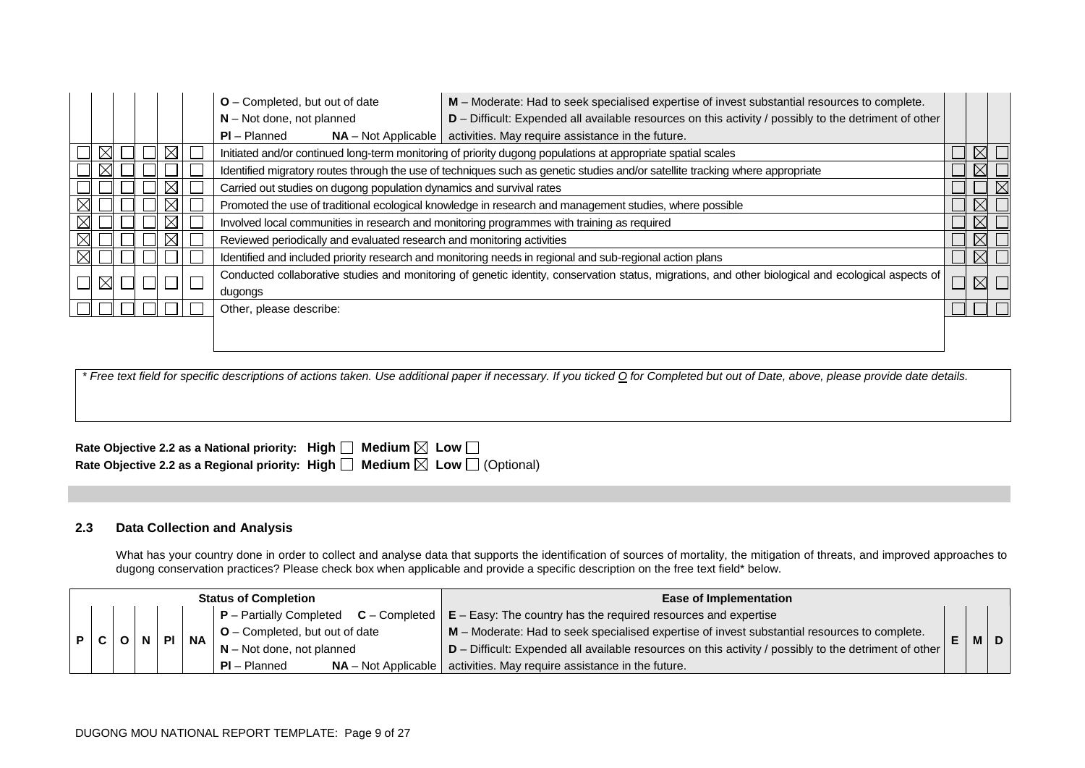|             |  |  |  | $O$ – Completed, but out of date                                                                             | M - Moderate: Had to seek specialised expertise of invest substantial resources to complete.                                                        |  |             |  |  |
|-------------|--|--|--|--------------------------------------------------------------------------------------------------------------|-----------------------------------------------------------------------------------------------------------------------------------------------------|--|-------------|--|--|
|             |  |  |  | $N - Not$ done, not planned                                                                                  | D - Difficult: Expended all available resources on this activity / possibly to the detriment of other                                               |  |             |  |  |
|             |  |  |  | $PI - Planned$                                                                                               | $NA$ – Not Applicable   activities. May require assistance in the future.                                                                           |  |             |  |  |
|             |  |  |  | Initiated and/or continued long-term monitoring of priority dugong populations at appropriate spatial scales |                                                                                                                                                     |  |             |  |  |
|             |  |  |  |                                                                                                              | Identified migratory routes through the use of techniques such as genetic studies and/or satellite tracking where appropriate                       |  |             |  |  |
|             |  |  |  |                                                                                                              | Carried out studies on dugong population dynamics and survival rates                                                                                |  |             |  |  |
|             |  |  |  | Promoted the use of traditional ecological knowledge in research and management studies, where possible      |                                                                                                                                                     |  |             |  |  |
|             |  |  |  | Involved local communities in research and monitoring programmes with training as required                   |                                                                                                                                                     |  |             |  |  |
|             |  |  |  | Reviewed periodically and evaluated research and monitoring activities                                       |                                                                                                                                                     |  | $\boxtimes$ |  |  |
|             |  |  |  |                                                                                                              | Identified and included priority research and monitoring needs in regional and sub-regional action plans                                            |  | $\boxtimes$ |  |  |
| $\boxtimes$ |  |  |  |                                                                                                              | Conducted collaborative studies and monitoring of genetic identity, conservation status, migrations, and other biological and ecological aspects of |  | $\times$    |  |  |
|             |  |  |  | dugongs                                                                                                      |                                                                                                                                                     |  |             |  |  |
|             |  |  |  | Other, please describe:                                                                                      |                                                                                                                                                     |  |             |  |  |
|             |  |  |  |                                                                                                              |                                                                                                                                                     |  |             |  |  |
|             |  |  |  |                                                                                                              |                                                                                                                                                     |  |             |  |  |

| Rate Objective 2.2 as a National priority: High $\Box$ Medium $\boxtimes$ Low $\Box$            |  |
|-------------------------------------------------------------------------------------------------|--|
| Rate Objective 2.2 as a Regional priority: High $\Box$ Medium $\boxtimes$ Low $\Box$ (Optional) |  |

### **2.3 Data Collection and Analysis**

What has your country done in order to collect and analyse data that supports the identification of sources of mortality, the mitigation of threats, and improved approaches to dugong conservation practices? Please check box when applicable and provide a specific description on the free text field\* below.

| <b>Status of Completion</b> |  |  | <b>Ease of Implementation</b> |                                                     |                                                                                              |                                                                                                              |  |  |       |
|-----------------------------|--|--|-------------------------------|-----------------------------------------------------|----------------------------------------------------------------------------------------------|--------------------------------------------------------------------------------------------------------------|--|--|-------|
|                             |  |  |                               |                                                     |                                                                                              | $ P -$ Partially Completed $C -$ Completed $ E -$ Easy: The country has the required resources and expertise |  |  |       |
| P C                         |  |  | $O\vert N \vert Pl$           | $\vert$ O – Completed, but out of date<br><b>NA</b> | M - Moderate: Had to seek specialised expertise of invest substantial resources to complete. |                                                                                                              |  |  |       |
|                             |  |  |                               |                                                     | $\vert$ N – Not done, not planned                                                            | $D$ – Difficult: Expended all available resources on this activity / possibly to the detriment of other      |  |  | M   D |
|                             |  |  |                               |                                                     | $PI - Planned$                                                                               | $NA$ – Not Applicable   activities. May require assistance in the future.                                    |  |  |       |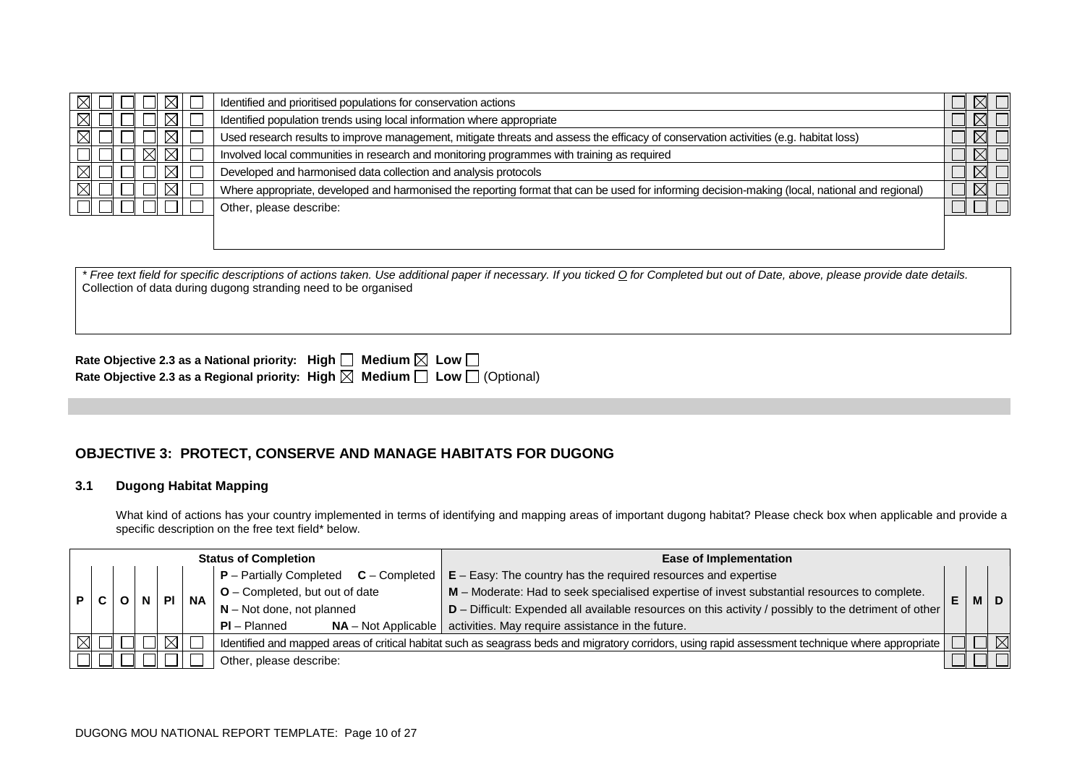| Identified and prioritised populations for conservation actions                                                                                |  |
|------------------------------------------------------------------------------------------------------------------------------------------------|--|
| Identified population trends using local information where appropriate                                                                         |  |
| Used research results to improve management, mitigate threats and assess the efficacy of conservation activities (e.g. habitat loss)           |  |
| Involved local communities in research and monitoring programmes with training as required                                                     |  |
| Developed and harmonised data collection and analysis protocols                                                                                |  |
| Where appropriate, developed and harmonised the reporting format that can be used for informing decision-making (local, national and regional) |  |
| Other, please describe:                                                                                                                        |  |
|                                                                                                                                                |  |

*\* Free text field for specific descriptions of actions taken. Use additional paper if necessary. If you ticked O for Completed but out of Date, above, please provide date details.* Collection of data during dugong stranding need to be organised

| Rate Objective 2.3 as a National priority: High $\Box$ Medium $\boxtimes$ Low $\Box$ |                                                                                                 |
|--------------------------------------------------------------------------------------|-------------------------------------------------------------------------------------------------|
|                                                                                      | Rate Objective 2.3 as a Regional priority: High $\boxtimes$ Medium $\Box$ Low $\Box$ (Optional) |

# **OBJECTIVE 3: PROTECT, CONSERVE AND MANAGE HABITATS FOR DUGONG**

### **3.1 Dugong Habitat Mapping**

What kind of actions has your country implemented in terms of identifying and mapping areas of important dugong habitat? Please check box when applicable and provide a specific description on the free text field\* below.

|                         | <b>Status of Completion</b> |                                                                                                                                                   |           | <b>Ease of Implementation</b> |                                |                                                                                              |                                                                                                       |  |           |  |
|-------------------------|-----------------------------|---------------------------------------------------------------------------------------------------------------------------------------------------|-----------|-------------------------------|--------------------------------|----------------------------------------------------------------------------------------------|-------------------------------------------------------------------------------------------------------|--|-----------|--|
|                         |                             |                                                                                                                                                   |           |                               |                                | $P -$ Partially Completed<br>$C$ – Completed $\vert$                                         | $E - E$ asy: The country has the required resources and expertise                                     |  |           |  |
|                         |                             |                                                                                                                                                   | <b>PI</b> | <b>NA</b>                     | O - Completed, but out of date | M - Moderate: Had to seek specialised expertise of invest substantial resources to complete. | E                                                                                                     |  | <b>MD</b> |  |
|                         |                             |                                                                                                                                                   |           |                               |                                | $N - Not$ done, not planned                                                                  | D - Difficult: Expended all available resources on this activity / possibly to the detriment of other |  |           |  |
|                         |                             |                                                                                                                                                   |           |                               |                                | $PI - Planned$                                                                               | $NA$ – Not Applicable   activities. May require assistance in the future.                             |  |           |  |
|                         |                             | Identified and mapped areas of critical habitat such as seagrass beds and migratory corridors, using rapid assessment technique where appropriate |           |                               |                                | $\boxtimes$                                                                                  |                                                                                                       |  |           |  |
| Other, please describe: |                             |                                                                                                                                                   |           |                               |                                |                                                                                              |                                                                                                       |  |           |  |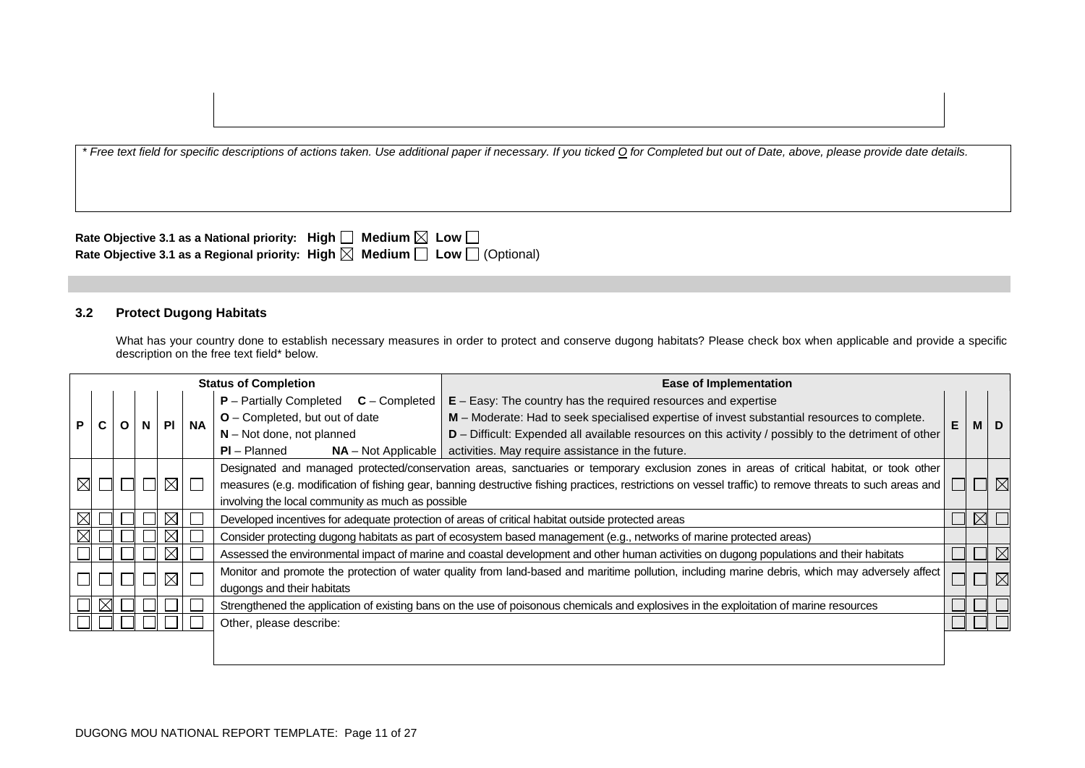| Rate Objective 3.1 as a National priority: High $\square$ Medium $\boxtimes$ Low $\square$ |                                                                                                 |
|--------------------------------------------------------------------------------------------|-------------------------------------------------------------------------------------------------|
|                                                                                            | Rate Objective 3.1 as a Regional priority: High $\boxtimes$ Medium $\Box$ Low $\Box$ (Optional) |

### **3.2 Protect Dugong Habitats**

What has your country done to establish necessary measures in order to protect and conserve dugong habitats? Please check box when applicable and provide a specific description on the free text field\* below.

|   |                                                                                                                                                                        |  |  |             |           | <b>Status of Completion</b>                                                                       | <b>Ease of Implementation</b>                                                                                                                   |   |          |
|---|------------------------------------------------------------------------------------------------------------------------------------------------------------------------|--|--|-------------|-----------|---------------------------------------------------------------------------------------------------|-------------------------------------------------------------------------------------------------------------------------------------------------|---|----------|
|   |                                                                                                                                                                        |  |  |             |           | $P$ – Partially Completed $C$ – Completed                                                         | $E - E$ asy: The country has the required resources and expertise                                                                               |   |          |
| Р |                                                                                                                                                                        |  |  |             | <b>NA</b> | O - Completed, but out of date                                                                    | M - Moderate: Had to seek specialised expertise of invest substantial resources to complete.                                                    | Е |          |
|   |                                                                                                                                                                        |  |  |             |           | $N - Not$ done, not planned                                                                       | D - Difficult: Expended all available resources on this activity / possibly to the detriment of other                                           |   |          |
|   |                                                                                                                                                                        |  |  |             |           | $PI - Planned$<br>$NA - Not Applicable$                                                           | activities. May require assistance in the future.                                                                                               |   |          |
|   | Designated and managed protected/conservation areas, sanctuaries or temporary exclusion zones in areas of critical habitat, or took other                              |  |  |             |           |                                                                                                   |                                                                                                                                                 |   |          |
|   | $\boxtimes$<br>measures (e.g. modification of fishing gear, banning destructive fishing practices, restrictions on vessel traffic) to remove threats to such areas and |  |  | $\boxtimes$ |           |                                                                                                   |                                                                                                                                                 |   |          |
|   | involving the local community as much as possible                                                                                                                      |  |  |             |           |                                                                                                   |                                                                                                                                                 |   |          |
|   |                                                                                                                                                                        |  |  | $\boxtimes$ |           | Developed incentives for adequate protection of areas of critical habitat outside protected areas |                                                                                                                                                 |   |          |
|   |                                                                                                                                                                        |  |  | $\boxtimes$ |           |                                                                                                   | Consider protecting dugong habitats as part of ecosystem based management (e.g., networks of marine protected areas)                            |   |          |
|   |                                                                                                                                                                        |  |  | $\boxtimes$ |           |                                                                                                   | Assessed the environmental impact of marine and coastal development and other human activities on dugong populations and their habitats         |   | $\times$ |
|   |                                                                                                                                                                        |  |  | $\boxtimes$ |           |                                                                                                   | Monitor and promote the protection of water quality from land-based and maritime pollution, including marine debris, which may adversely affect |   |          |
|   |                                                                                                                                                                        |  |  |             |           | dugongs and their habitats                                                                        |                                                                                                                                                 |   |          |
|   |                                                                                                                                                                        |  |  |             |           |                                                                                                   | Strengthened the application of existing bans on the use of poisonous chemicals and explosives in the exploitation of marine resources          |   |          |
|   |                                                                                                                                                                        |  |  |             |           | Other, please describe:                                                                           |                                                                                                                                                 |   |          |
|   |                                                                                                                                                                        |  |  |             |           |                                                                                                   |                                                                                                                                                 |   |          |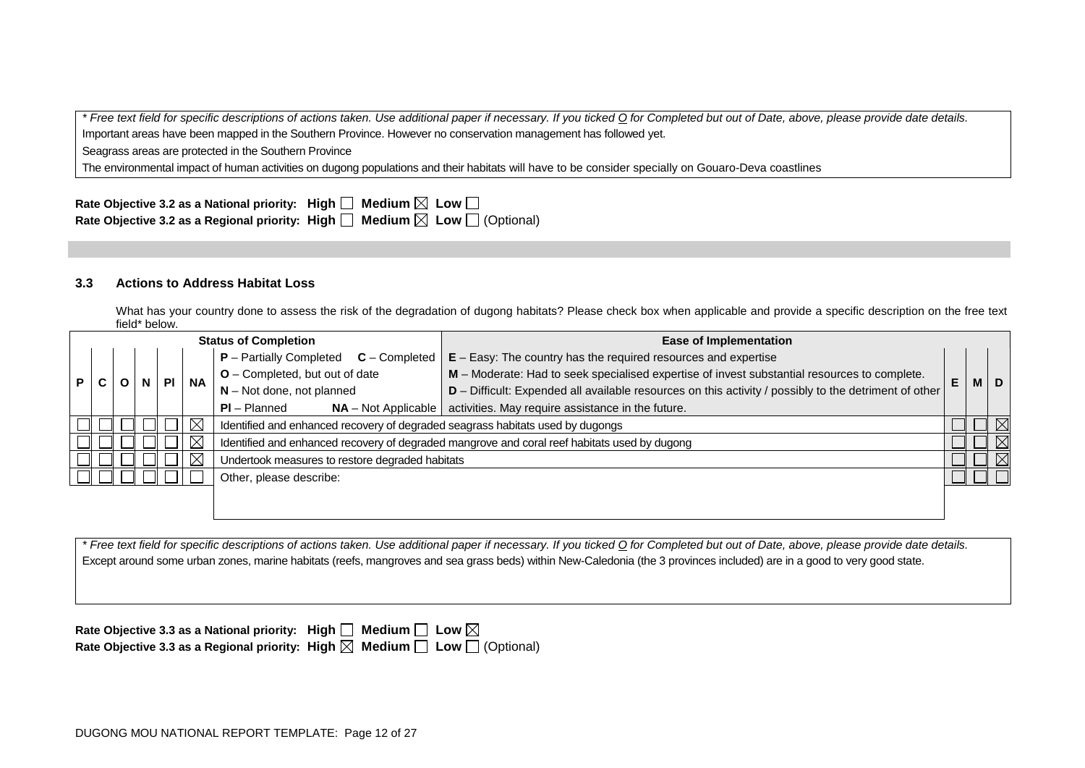*\* Free text field for specific descriptions of actions taken. Use additional paper if necessary. If you ticked O for Completed but out of Date, above, please provide date details.* Important areas have been mapped in the Southern Province. However no conservation management has followed yet.

Seagrass areas are protected in the Southern Province

The environmental impact of human activities on dugong populations and their habitats will have to be consider specially on Gouaro-Deva coastlines

| Rate Objective 3.2 as a National priority: High $\square$ Medium $\boxtimes$ Low $\square$      |  |  |
|-------------------------------------------------------------------------------------------------|--|--|
| Rate Objective 3.2 as a Regional priority: High $\Box$ Medium $\boxtimes$ Low $\Box$ (Optional) |  |  |

#### **3.3 Actions to Address Habitat Loss**

What has your country done to assess the risk of the degradation of dugong habitats? Please check box when applicable and provide a specific description on the free text field\* below.

|    | <b>Status of Completion</b> |                                                                                                       |  | <b>Ease of Implementation</b> |                                                                                |                                                                                              |   |  |             |
|----|-----------------------------|-------------------------------------------------------------------------------------------------------|--|-------------------------------|--------------------------------------------------------------------------------|----------------------------------------------------------------------------------------------|---|--|-------------|
|    |                             |                                                                                                       |  |                               | $P -$ Partially Completed<br>$C$ – Completed                                   | $E - E$ asy: The country has the required resources and expertise                            |   |  |             |
| P. |                             |                                                                                                       |  | <b>NA</b>                     | $O$ – Completed, but out of date                                               | M - Moderate: Had to seek specialised expertise of invest substantial resources to complete. | E |  | M   D       |
|    | $N - Not$ done, not planned | D - Difficult: Expended all available resources on this activity / possibly to the detriment of other |  |                               |                                                                                |                                                                                              |   |  |             |
|    |                             |                                                                                                       |  |                               | $PI - Planned$<br>$NA - Not Applicable$                                        | activities. May require assistance in the future.                                            |   |  |             |
|    |                             |                                                                                                       |  | $\boxtimes$                   | Identified and enhanced recovery of degraded seagrass habitats used by dugongs |                                                                                              |   |  |             |
|    |                             |                                                                                                       |  | $\times$                      |                                                                                | Identified and enhanced recovery of degraded mangrove and coral reef habitats used by dugong |   |  | $\boxtimes$ |
|    |                             |                                                                                                       |  | $\boxtimes$                   | Undertook measures to restore degraded habitats                                |                                                                                              |   |  | $\boxtimes$ |
|    |                             |                                                                                                       |  |                               | Other, please describe:                                                        |                                                                                              |   |  |             |
|    |                             |                                                                                                       |  |                               |                                                                                |                                                                                              |   |  |             |
|    |                             |                                                                                                       |  |                               |                                                                                |                                                                                              |   |  |             |

*\* Free text field for specific descriptions of actions taken. Use additional paper if necessary. If you ticked O for Completed but out of Date, above, please provide date details.* Except around some urban zones, marine habitats (reefs, mangroves and sea grass beds) within New-Caledonia (the 3 provinces included) are in a good to very good state.

| Rate Objective 3.3 as a National priority: High $\Box$ Medium $\Box$ Low $\boxtimes$            |  |
|-------------------------------------------------------------------------------------------------|--|
| Rate Objective 3.3 as a Regional priority: High $\boxtimes$ Medium $\Box$ Low $\Box$ (Optional) |  |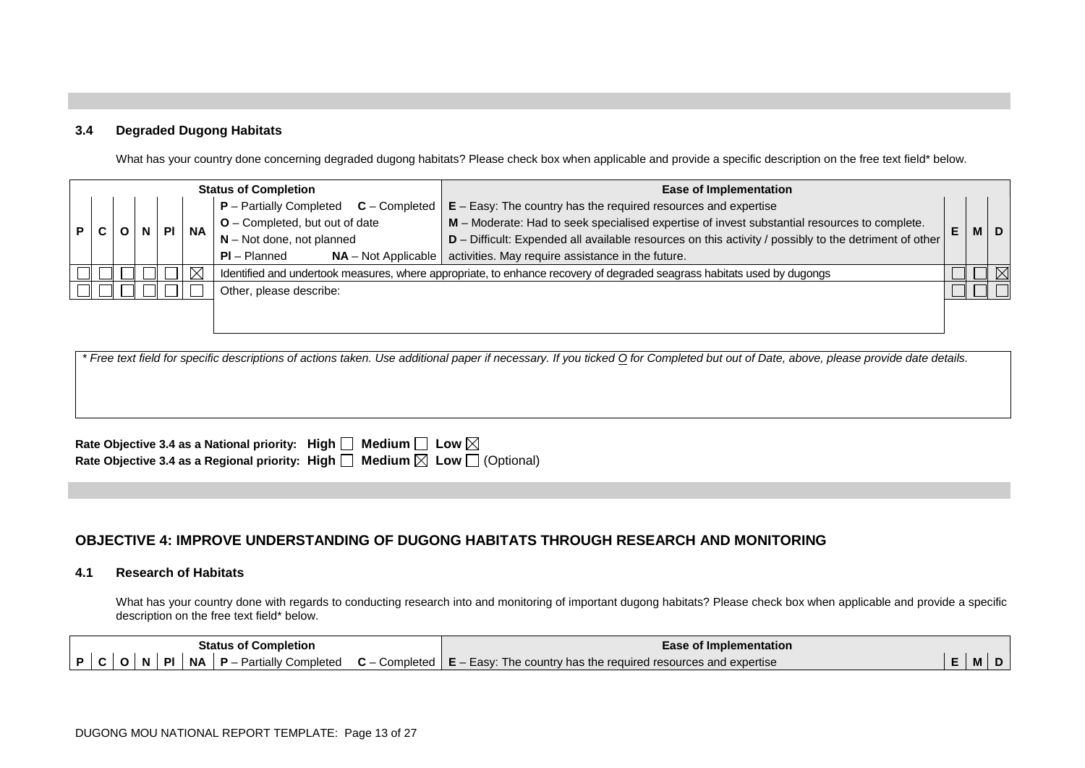#### **3.4 Degraded Dugong Habitats**

What has your country done concerning degraded dugong habitats? Please check box when applicable and provide a specific description on the free text field\* below.

|   | <b>Status of Completion</b> |           |                                | <b>Ease of Implementation</b>                                                                |    |                                         |                                                                                                                         |  |  |  |
|---|-----------------------------|-----------|--------------------------------|----------------------------------------------------------------------------------------------|----|-----------------------------------------|-------------------------------------------------------------------------------------------------------------------------|--|--|--|
|   | $P -$ Partially Completed   |           | $C$ – Completed                | $E - E$ asy: The country has the required resources and expertise                            |    |                                         |                                                                                                                         |  |  |  |
| P |                             | <b>NA</b> | O - Completed, but out of date | M - Moderate: Had to seek specialised expertise of invest substantial resources to complete. | E. |                                         | $M$ D                                                                                                                   |  |  |  |
|   |                             |           |                                |                                                                                              |    | $N - Not$ done, not planned             | D - Difficult: Expended all available resources on this activity / possibly to the detriment of other                   |  |  |  |
|   |                             |           |                                |                                                                                              |    | $PI - Planned$<br>$NA - Not Applicable$ | activities. May require assistance in the future.                                                                       |  |  |  |
|   |                             |           |                                |                                                                                              | 对  |                                         | Identified and undertook measures, where appropriate, to enhance recovery of degraded seagrass habitats used by dugongs |  |  |  |
|   | Other, please describe:     |           |                                |                                                                                              |    |                                         |                                                                                                                         |  |  |  |
|   |                             |           |                                |                                                                                              |    |                                         |                                                                                                                         |  |  |  |
|   |                             |           |                                |                                                                                              |    |                                         |                                                                                                                         |  |  |  |

| * Free text field for specific descriptions of actions taken. Use additional paper if necessary. If you ticked O for Completed but out of Date, above, please provide date details. |  |
|-------------------------------------------------------------------------------------------------------------------------------------------------------------------------------------|--|
|                                                                                                                                                                                     |  |
|                                                                                                                                                                                     |  |
|                                                                                                                                                                                     |  |

| Rate Objective 3.4 as a National priority: High $\square$ Medium $\square$ Low $\boxtimes$      |  |
|-------------------------------------------------------------------------------------------------|--|
| Rate Objective 3.4 as a Regional priority: High $\Box$ Medium $\boxtimes$ Low $\Box$ (Optional) |  |

## **OBJECTIVE 4: IMPROVE UNDERSTANDING OF DUGONG HABITATS THROUGH RESEARCH AND MONITORING**

#### **4.1 Research of Habitats**

What has your country done with regards to conducting research into and monitoring of important dugong habitats? Please check box when applicable and provide a specific description on the free text field\* below.

| <b>Status of Completion</b> |  | Ease of Implementation |  |  |  |  |                                                                                                                            |  |    |  |
|-----------------------------|--|------------------------|--|--|--|--|----------------------------------------------------------------------------------------------------------------------------|--|----|--|
|                             |  |                        |  |  |  |  | $ P C O N Pl NA P$ – Partially Completed $C$ – Completed $ E$ – Easy: The country has the required resources and expertise |  | M. |  |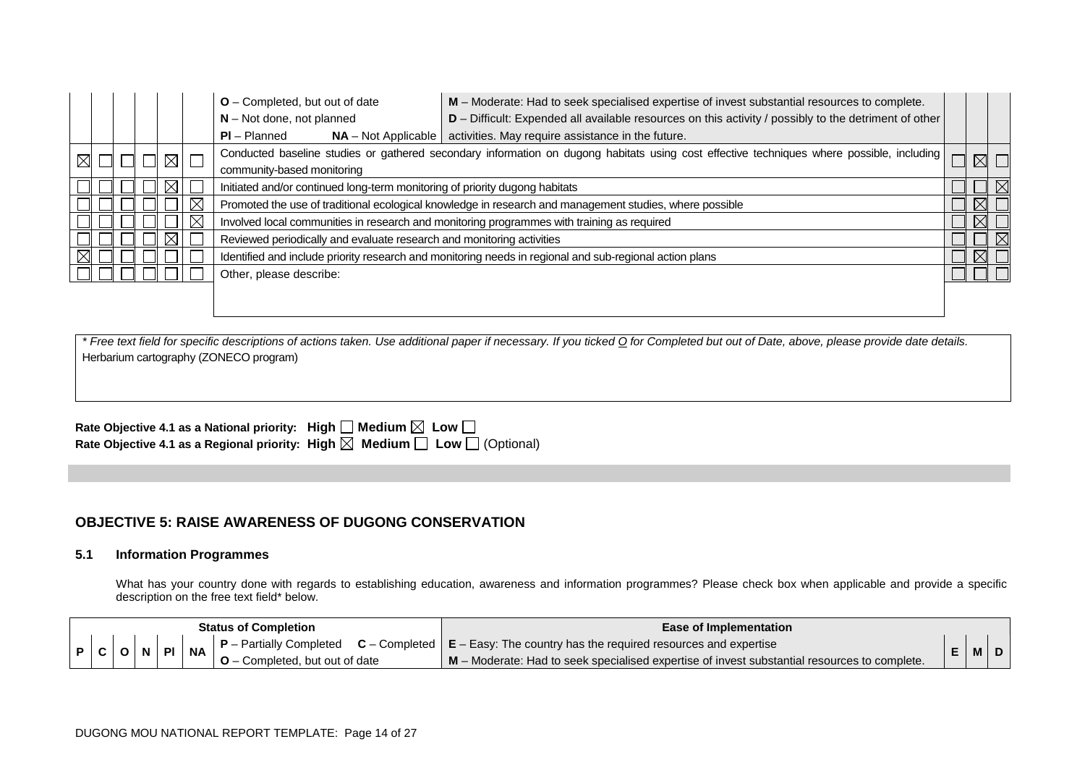|             |  |  |  |             |          | $O$ – Completed, but out of date                                                                        | M - Moderate: Had to seek specialised expertise of invest substantial resources to complete.<br>D - Difficult: Expended all available resources on this activity / possibly to the detriment of other<br>$N - Not$ done, not planned |  |             |  |  |  |  |  |
|-------------|--|--|--|-------------|----------|---------------------------------------------------------------------------------------------------------|--------------------------------------------------------------------------------------------------------------------------------------------------------------------------------------------------------------------------------------|--|-------------|--|--|--|--|--|
|             |  |  |  |             |          | $PI - Planned$                                                                                          | activities. May require assistance in the future.<br>$NA - Not Applicable$                                                                                                                                                           |  |             |  |  |  |  |  |
| $\boxtimes$ |  |  |  | $\boxtimes$ | $\Box$   |                                                                                                         | Conducted baseline studies or gathered secondary information on dugong habitats using cost effective techniques where possible, including                                                                                            |  |             |  |  |  |  |  |
|             |  |  |  |             |          | community-based monitoring                                                                              |                                                                                                                                                                                                                                      |  |             |  |  |  |  |  |
|             |  |  |  |             |          | Initiated and/or continued long-term monitoring of priority dugong habitats                             |                                                                                                                                                                                                                                      |  |             |  |  |  |  |  |
|             |  |  |  |             | Χ        |                                                                                                         | Promoted the use of traditional ecological knowledge in research and management studies, where possible                                                                                                                              |  | $\boxtimes$ |  |  |  |  |  |
|             |  |  |  |             | $\times$ |                                                                                                         | Involved local communities in research and monitoring programmes with training as required                                                                                                                                           |  | $\boxtimes$ |  |  |  |  |  |
|             |  |  |  |             |          | Reviewed periodically and evaluate research and monitoring activities                                   |                                                                                                                                                                                                                                      |  |             |  |  |  |  |  |
|             |  |  |  |             |          | Identified and include priority research and monitoring needs in regional and sub-regional action plans |                                                                                                                                                                                                                                      |  |             |  |  |  |  |  |
|             |  |  |  |             |          | Other, please describe:                                                                                 |                                                                                                                                                                                                                                      |  |             |  |  |  |  |  |
|             |  |  |  |             |          |                                                                                                         |                                                                                                                                                                                                                                      |  |             |  |  |  |  |  |

| Rate Objective 4.1 as a National priority: High $\Box$ Medium $\boxtimes$ Low $\Box$ |                                                                                                 |
|--------------------------------------------------------------------------------------|-------------------------------------------------------------------------------------------------|
|                                                                                      | Rate Objective 4.1 as a Regional priority: High $\boxtimes$ Medium $\Box$ Low $\Box$ (Optional) |

## **OBJECTIVE 5: RAISE AWARENESS OF DUGONG CONSERVATION**

### **5.1 Information Programmes**

What has your country done with regards to establishing education, awareness and information programmes? Please check box when applicable and provide a specific description on the free text field\* below.

| <b>Status of Completion</b> |  |  |  |            |           |                            | Ease of Implementation                                                                                                                    |       |  |
|-----------------------------|--|--|--|------------|-----------|----------------------------|-------------------------------------------------------------------------------------------------------------------------------------------|-------|--|
|                             |  |  |  | <b>NPI</b> | <b>NA</b> |                            | $\vert$ <b>P</b> – Partially Completed <b>C</b> – Completed $\vert$ <b>E</b> – Easy: The country has the required resources and expertise |       |  |
|                             |  |  |  |            |           | Completed, but out of date | M – Moderate: Had to seek specialised expertise of invest substantial resources to complete.                                              | IVI I |  |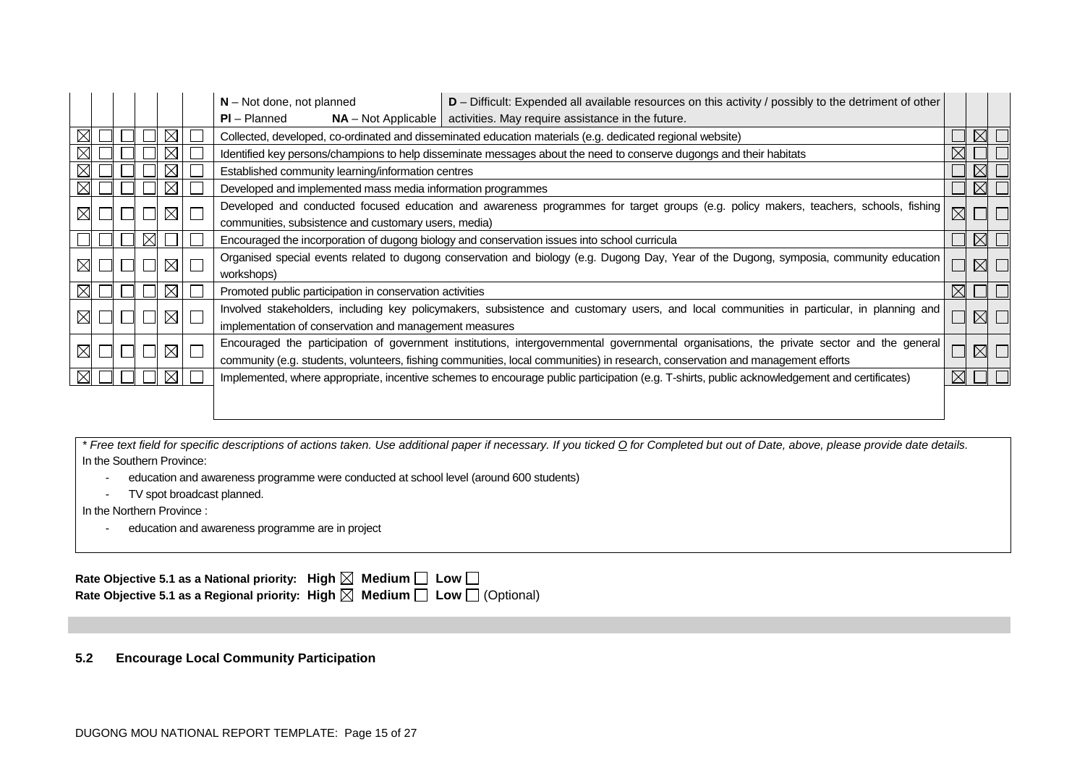|             |  |             | $N - Not$ done, not planned<br>$D$ – Difficult: Expended all available resources on this activity / possibly to the detriment of other                                                                                                                                      |                                                                                                                                                                                              |  |             |  |  |  |  |
|-------------|--|-------------|-----------------------------------------------------------------------------------------------------------------------------------------------------------------------------------------------------------------------------------------------------------------------------|----------------------------------------------------------------------------------------------------------------------------------------------------------------------------------------------|--|-------------|--|--|--|--|
|             |  |             | $PI - Planned$                                                                                                                                                                                                                                                              | $NA$ – Not Applicable   activities. May require assistance in the future.                                                                                                                    |  |             |  |  |  |  |
|             |  |             |                                                                                                                                                                                                                                                                             | Collected, developed, co-ordinated and disseminated education materials (e.g. dedicated regional website)                                                                                    |  | $\times$    |  |  |  |  |
|             |  |             |                                                                                                                                                                                                                                                                             | Identified key persons/champions to help disseminate messages about the need to conserve dugongs and their habitats                                                                          |  |             |  |  |  |  |
|             |  |             | Established community learning/information centres                                                                                                                                                                                                                          |                                                                                                                                                                                              |  | $\times$    |  |  |  |  |
|             |  |             | Developed and implemented mass media information programmes                                                                                                                                                                                                                 |                                                                                                                                                                                              |  | $\boxtimes$ |  |  |  |  |
|             |  | $\times$    |                                                                                                                                                                                                                                                                             | Developed and conducted focused education and awareness programmes for target groups (e.g. policy makers, teachers, schools, fishing<br>communities, subsistence and customary users, media) |  |             |  |  |  |  |
|             |  |             | Encouraged the incorporation of dugong biology and conservation issues into school curricula                                                                                                                                                                                |                                                                                                                                                                                              |  |             |  |  |  |  |
|             |  | $\boxtimes$ | Organised special events related to dugong conservation and biology (e.g. Dugong Day, Year of the Dugong, symposia, community education<br>workshops)                                                                                                                       |                                                                                                                                                                                              |  |             |  |  |  |  |
|             |  |             | Promoted public participation in conservation activities                                                                                                                                                                                                                    |                                                                                                                                                                                              |  |             |  |  |  |  |
| $\boxtimes$ |  | $\boxtimes$ | Involved stakeholders, including key policymakers, subsistence and customary users, and local communities in particular, in planning and<br>implementation of conservation and management measures                                                                          |                                                                                                                                                                                              |  |             |  |  |  |  |
| $\boxtimes$ |  | $\boxtimes$ | Encouraged the participation of government institutions, intergovernmental governmental organisations, the private sector and the general<br>community (e.g. students, volunteers, fishing communities, local communities) in research, conservation and management efforts |                                                                                                                                                                                              |  |             |  |  |  |  |
|             |  |             | Implemented, where appropriate, incentive schemes to encourage public participation (e.g. T-shirts, public acknowledgement and certificates)                                                                                                                                |                                                                                                                                                                                              |  |             |  |  |  |  |
|             |  |             |                                                                                                                                                                                                                                                                             |                                                                                                                                                                                              |  |             |  |  |  |  |

- education and awareness programme were conducted at school level (around 600 students)
- TV spot broadcast planned.

In the Northern Province :

- education and awareness programme are in project

| Rate Objective 5.1 as a National priority: High $\boxtimes$ Medium $\Box$ Low $\Box$            |  |
|-------------------------------------------------------------------------------------------------|--|
| Rate Objective 5.1 as a Regional priority: High $\boxtimes$ Medium $\Box$ Low $\Box$ (Optional) |  |

**5.2 Encourage Local Community Participation**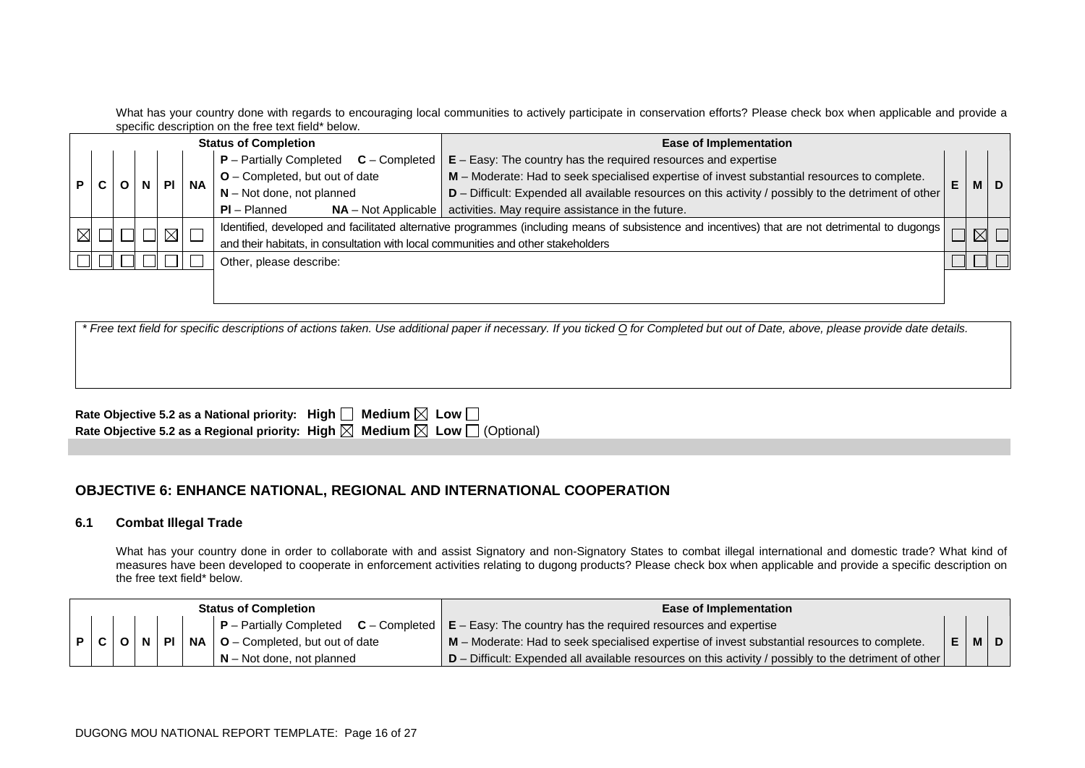What has your country done with regards to encouraging local communities to actively participate in conservation efforts? Please check box when applicable and provide a specific description on the free text field\* below.

|                | <b>Status of Completion</b> |                           |           |                                |                                                                                              |                                                                                   | <b>Ease of Implementation</b>                                                                                                                    |  |  |
|----------------|-----------------------------|---------------------------|-----------|--------------------------------|----------------------------------------------------------------------------------------------|-----------------------------------------------------------------------------------|--------------------------------------------------------------------------------------------------------------------------------------------------|--|--|
|                |                             | $P$ – Partially Completed |           | $C$ – Completed                | $E$ – Easy: The country has the required resources and expertise                             |                                                                                   |                                                                                                                                                  |  |  |
| P <sub>1</sub> | <b>PI</b>                   |                           | <b>NA</b> | O - Completed, but out of date | M - Moderate: Had to seek specialised expertise of invest substantial resources to complete. | E                                                                                 | MIDI                                                                                                                                             |  |  |
|                |                             |                           |           |                                |                                                                                              | $N - Not$ done, not planned                                                       | D - Difficult: Expended all available resources on this activity / possibly to the detriment of other                                            |  |  |
|                |                             |                           |           |                                |                                                                                              | $PI - Planned$<br>$NA - Not Applicable$                                           | activities. May require assistance in the future.                                                                                                |  |  |
| $\boxtimes$    |                             |                           |           | $\boxtimes$                    |                                                                                              |                                                                                   | Identified, developed and facilitated alternative programmes (including means of subsistence and incentives) that are not detrimental to dugongs |  |  |
|                |                             |                           |           |                                |                                                                                              | and their habitats, in consultation with local communities and other stakeholders |                                                                                                                                                  |  |  |
|                |                             |                           |           |                                |                                                                                              | Other, please describe:                                                           |                                                                                                                                                  |  |  |
|                |                             |                           |           |                                |                                                                                              |                                                                                   |                                                                                                                                                  |  |  |
|                |                             |                           |           |                                |                                                                                              |                                                                                   |                                                                                                                                                  |  |  |

| * Free text field for specific descriptions of actions taken. Use additional paper if necessary. If you ticked Q for Completed but out of Date, above, please provide date details. |
|-------------------------------------------------------------------------------------------------------------------------------------------------------------------------------------|
|                                                                                                                                                                                     |
|                                                                                                                                                                                     |
|                                                                                                                                                                                     |
| Rate Objective 5.2 as a National priority: High $\Box$ Medium $\boxtimes$ Low $\Box$                                                                                                |

| Rate Objective 5.2 as a Regional priority: High $\boxtimes$ Medium $\boxtimes$ Low $\Box$ (Optional) |  |  |  |
|------------------------------------------------------------------------------------------------------|--|--|--|

### **OBJECTIVE 6: ENHANCE NATIONAL, REGIONAL AND INTERNATIONAL COOPERATION**

#### **6.1 Combat Illegal Trade**

What has your country done in order to collaborate with and assist Signatory and non-Signatory States to combat illegal international and domestic trade? What kind of measures have been developed to cooperate in enforcement activities relating to dugong products? Please check box when applicable and provide a specific description on the free text field\* below.

| <b>Status of Completion</b> |     | <b>Ease of Implementation</b>                                                                                             |  |                                                                                                         |  |  |     |
|-----------------------------|-----|---------------------------------------------------------------------------------------------------------------------------|--|---------------------------------------------------------------------------------------------------------|--|--|-----|
|                             |     | $\mid$ P – Partially Completed $\mid$ C – Completed $\mid$ E – Easy: The country has the required resources and expertise |  |                                                                                                         |  |  |     |
|                             | P C | 1 PL 1<br><b>NA</b><br>$\sqrt{0}$ – Completed, but out of date                                                            |  | $\mathsf{M}$ – Moderate: Had to seek specialised expertise of invest substantial resources to complete. |  |  | EMD |
| $N - Not$ done, not planned |     | D – Difficult: Expended all available resources on this activity / possibly to the detriment of other                     |  |                                                                                                         |  |  |     |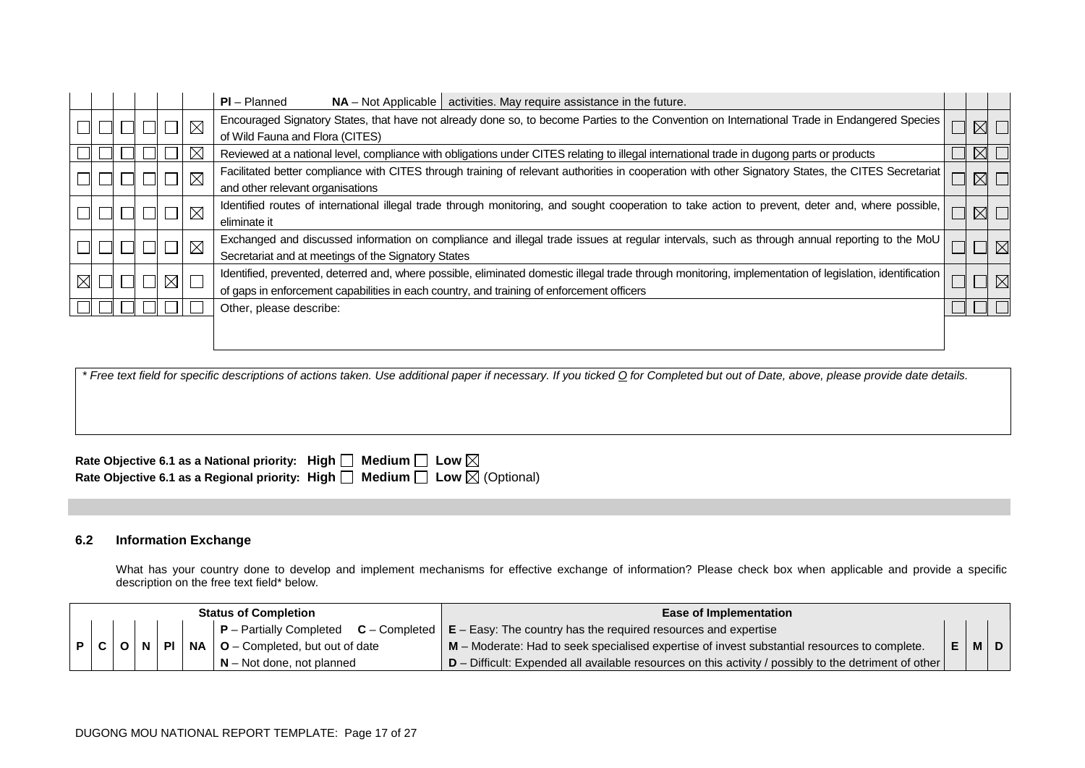|  |  |               |                         | $PI - Planned$<br>activities. May require assistance in the future.<br>$NA - Not Applicable$                                                                                                                                                          |             |             |
|--|--|---------------|-------------------------|-------------------------------------------------------------------------------------------------------------------------------------------------------------------------------------------------------------------------------------------------------|-------------|-------------|
|  |  |               | $\overline{\mathbb{N}}$ | Encouraged Signatory States, that have not already done so, to become Parties to the Convention on International Trade in Endangered Species<br>of Wild Fauna and Flora (CITES)                                                                       |             |             |
|  |  |               |                         | Reviewed at a national level, compliance with obligations under CITES relating to illegal international trade in dugong parts or products                                                                                                             | $\boxtimes$ |             |
|  |  |               | $\times$                | Facilitated better compliance with CITES through training of relevant authorities in cooperation with other Signatory States, the CITES Secretariat<br>and other relevant organisations                                                               | $\boxtimes$ |             |
|  |  |               | $\mathsf{I}\boxtimes$   | Identified routes of international illegal trade through monitoring, and sought cooperation to take action to prevent, deter and, where possible,<br>eliminate it                                                                                     |             |             |
|  |  |               | $\boxtimes$             | Exchanged and discussed information on compliance and illegal trade issues at regular intervals, such as through annual reporting to the MoU<br>Secretariat and at meetings of the Signatory States                                                   |             | $\boxtimes$ |
|  |  | $\boxtimes$ l |                         | Identified, prevented, deterred and, where possible, eliminated domestic illegal trade through monitoring, implementation of legislation, identification<br>of gaps in enforcement capabilities in each country, and training of enforcement officers |             |             |
|  |  |               |                         | Other, please describe:                                                                                                                                                                                                                               |             |             |
|  |  |               |                         |                                                                                                                                                                                                                                                       |             |             |

| Rate Objective 6.1 as a National priority: High $\Box$ Medium $\Box$ Low $\boxtimes$            |  |
|-------------------------------------------------------------------------------------------------|--|
| Rate Objective 6.1 as a Regional priority: High $\Box$ Medium $\Box$ Low $\boxtimes$ (Optional) |  |

### **6.2 Information Exchange**

What has your country done to develop and implement mechanisms for effective exchange of information? Please check box when applicable and provide a specific description on the free text field\* below.

| <b>Status of Completion</b> |     |  |                | <b>Ease of Implementation</b>                   |                                                                                                                           |  |         |
|-----------------------------|-----|--|----------------|-------------------------------------------------|---------------------------------------------------------------------------------------------------------------------------|--|---------|
|                             |     |  |                |                                                 | $\mid$ P – Partially Completed $\mid$ C – Completed $\mid$ E – Easy: The country has the required resources and expertise |  |         |
|                             | P C |  | $\blacksquare$ | $\mid$ NA $\mid$ O – Completed, but out of date | M – Moderate: Had to seek specialised expertise of invest substantial resources to complete.                              |  | IEIMIDI |
|                             |     |  |                | $N -$ Not done, not planned                     | $\vert$ D – Difficult: Expended all available resources on this activity / possibly to the detriment of other $\vert$     |  |         |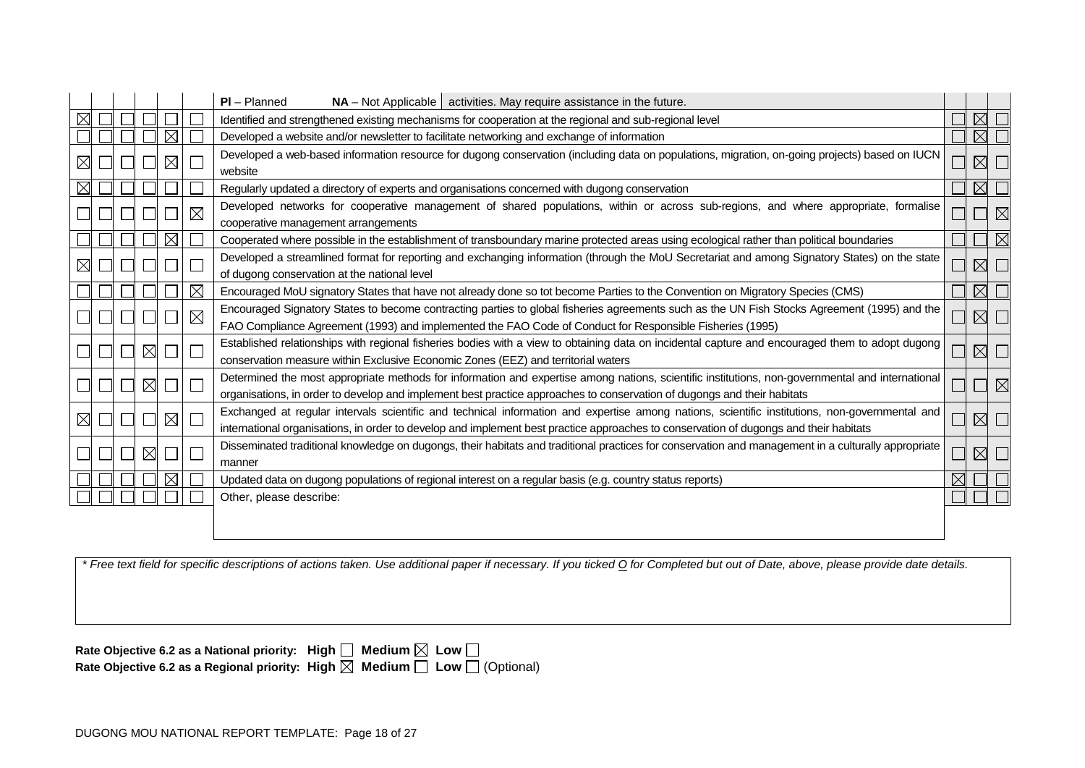|             |  |             |             |             | $PI - Planned$<br>$NA$ – Not Applicable   activities. May require assistance in the future.                                                                                                                                                                                             |  |             |             |  |  |  |  |
|-------------|--|-------------|-------------|-------------|-----------------------------------------------------------------------------------------------------------------------------------------------------------------------------------------------------------------------------------------------------------------------------------------|--|-------------|-------------|--|--|--|--|
|             |  |             |             |             | Identified and strengthened existing mechanisms for cooperation at the regional and sub-regional level                                                                                                                                                                                  |  | ⋉           |             |  |  |  |  |
|             |  |             | $\boxtimes$ |             | Developed a website and/or newsletter to facilitate networking and exchange of information                                                                                                                                                                                              |  | $\boxtimes$ |             |  |  |  |  |
| $\boxtimes$ |  |             | $\boxtimes$ |             | Developed a web-based information resource for dugong conservation (including data on populations, migration, on-going projects) based on IUCN<br>website                                                                                                                               |  | $\boxtimes$ |             |  |  |  |  |
|             |  |             |             |             | Regularly updated a directory of experts and organisations concerned with dugong conservation                                                                                                                                                                                           |  | $\boxtimes$ |             |  |  |  |  |
|             |  |             |             | $\boxtimes$ | Developed networks for cooperative management of shared populations, within or across sub-regions, and where appropriate, formalise<br>cooperative management arrangements                                                                                                              |  |             |             |  |  |  |  |
|             |  |             | $\boxtimes$ |             | Cooperated where possible in the establishment of transboundary marine protected areas using ecological rather than political boundaries                                                                                                                                                |  |             | $\boxtimes$ |  |  |  |  |
|             |  |             |             |             | Developed a streamlined format for reporting and exchanging information (through the MoU Secretariat and among Signatory States) on the state<br>$\boxtimes$<br>of dugong conservation at the national level                                                                            |  |             |             |  |  |  |  |
|             |  |             |             | $\times$    | Encouraged MoU signatory States that have not already done so tot become Parties to the Convention on Migratory Species (CMS)                                                                                                                                                           |  | $\boxtimes$ |             |  |  |  |  |
|             |  |             |             | $\times$    | Encouraged Signatory States to become contracting parties to global fisheries agreements such as the UN Fish Stocks Agreement (1995) and the<br>FAO Compliance Agreement (1993) and implemented the FAO Code of Conduct for Responsible Fisheries (1995)                                |  | $\boxtimes$ | $\Box$      |  |  |  |  |
|             |  | $\boxtimes$ |             |             | Established relationships with regional fisheries bodies with a view to obtaining data on incidental capture and encouraged them to adopt dugong<br>conservation measure within Exclusive Economic Zones (EEZ) and territorial waters                                                   |  | $\boxtimes$ | $\Box$      |  |  |  |  |
|             |  | $\boxtimes$ |             |             | Determined the most appropriate methods for information and expertise among nations, scientific institutions, non-governmental and international<br>organisations, in order to develop and implement best practice approaches to conservation of dugongs and their habitats             |  |             | $\boxtimes$ |  |  |  |  |
| $\boxtimes$ |  |             | $\boxtimes$ | Г           | Exchanged at regular intervals scientific and technical information and expertise among nations, scientific institutions, non-governmental and<br>international organisations, in order to develop and implement best practice approaches to conservation of dugongs and their habitats |  | $\boxtimes$ | $\Box$      |  |  |  |  |
|             |  | $\boxtimes$ |             |             | Disseminated traditional knowledge on dugongs, their habitats and traditional practices for conservation and management in a culturally appropriate<br>manner                                                                                                                           |  | $\boxtimes$ |             |  |  |  |  |
|             |  |             | $\times$    |             | Updated data on dugong populations of regional interest on a regular basis (e.g. country status reports)                                                                                                                                                                                |  |             |             |  |  |  |  |
|             |  |             |             |             | Other, please describe:                                                                                                                                                                                                                                                                 |  |             |             |  |  |  |  |
|             |  |             |             |             |                                                                                                                                                                                                                                                                                         |  |             |             |  |  |  |  |

| Rate Objective 6.2 as a National priority: High $\Box$ Medium $\boxtimes$ Low $\Box$ |                                                                                                 |
|--------------------------------------------------------------------------------------|-------------------------------------------------------------------------------------------------|
|                                                                                      | Rate Objective 6.2 as a Regional priority: High $\boxtimes$ Medium $\Box$ Low $\Box$ (Optional) |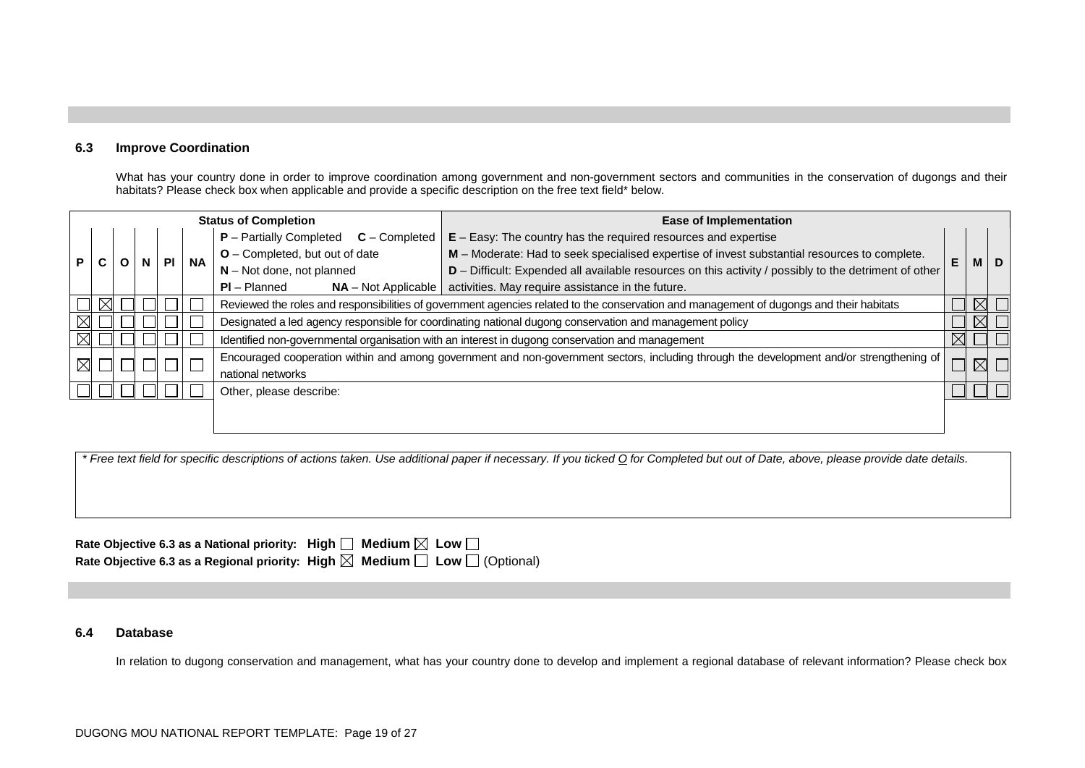#### **6.3 Improve Coordination**

What has your country done in order to improve coordination among government and non-government sectors and communities in the conservation of dugongs and their habitats? Please check box when applicable and provide a specific description on the free text field\* below.

|             |  |  |     |           | <b>Status of Completion</b>                                                                                                             | <b>Ease of Implementation</b>                                                                                                            |    |  |             |
|-------------|--|--|-----|-----------|-----------------------------------------------------------------------------------------------------------------------------------------|------------------------------------------------------------------------------------------------------------------------------------------|----|--|-------------|
|             |  |  |     |           | $P -$ Partially Completed<br>$C$ – Completed                                                                                            | $E - E$ asy: The country has the required resources and expertise                                                                        |    |  |             |
| P           |  |  | PI. | <b>NA</b> | O - Completed, but out of date                                                                                                          | M - Moderate: Had to seek specialised expertise of invest substantial resources to complete.                                             | E. |  | M   D       |
|             |  |  |     |           | $N - Not$ done, not planned                                                                                                             | D - Difficult: Expended all available resources on this activity / possibly to the detriment of other                                    |    |  |             |
|             |  |  |     |           | $PI - Planned$<br>$NA - Not Applicable$                                                                                                 | activities. May require assistance in the future.                                                                                        |    |  |             |
|             |  |  |     |           | Reviewed the roles and responsibilities of government agencies related to the conservation and management of dugongs and their habitats |                                                                                                                                          |    |  | $\boxtimes$ |
| $\boxtimes$ |  |  |     |           | Designated a led agency responsible for coordinating national dugong conservation and management policy                                 |                                                                                                                                          |    |  | $\boxtimes$ |
| $\boxtimes$ |  |  |     |           |                                                                                                                                         | Identified non-governmental organisation with an interest in dugong conservation and management                                          |    |  |             |
|             |  |  |     |           |                                                                                                                                         | Encouraged cooperation within and among government and non-government sectors, including through the development and/or strengthening of |    |  |             |
|             |  |  |     |           | national networks                                                                                                                       |                                                                                                                                          |    |  |             |
|             |  |  |     |           | Other, please describe:                                                                                                                 |                                                                                                                                          |    |  |             |
|             |  |  |     |           |                                                                                                                                         |                                                                                                                                          |    |  |             |
|             |  |  |     |           |                                                                                                                                         |                                                                                                                                          |    |  |             |

*\* Free text field for specific descriptions of actions taken. Use additional paper if necessary. If you ticked O for Completed but out of Date, above, please provide date details.*

| Rate Objective 6.3 as a National priority: High $\Box$ Medium $\boxtimes$ Low $\Box$ |                                                                                                 |
|--------------------------------------------------------------------------------------|-------------------------------------------------------------------------------------------------|
|                                                                                      | Rate Objective 6.3 as a Regional priority: High $\boxtimes$ Medium $\Box$ Low $\Box$ (Optional) |

#### **6.4 Database**

In relation to dugong conservation and management, what has your country done to develop and implement a regional database of relevant information? Please check box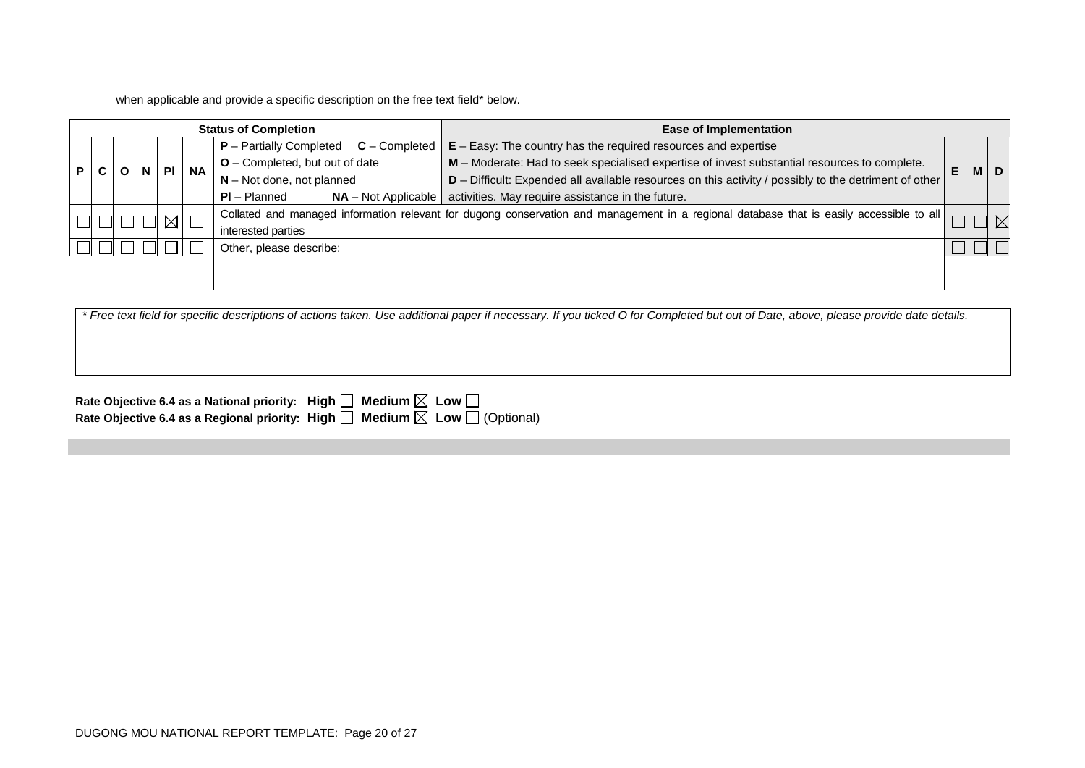when applicable and provide a specific description on the free text field\* below.

|     | <b>Status of Completion</b> |  |  |             |           | <b>Ease of Implementation</b>                |                                                                                                                                          |   |            |  |
|-----|-----------------------------|--|--|-------------|-----------|----------------------------------------------|------------------------------------------------------------------------------------------------------------------------------------------|---|------------|--|
|     |                             |  |  |             |           | $P -$ Partially Completed<br>$C$ – Completed | $E - E$ asy: The country has the required resources and expertise                                                                        |   |            |  |
| P I |                             |  |  | PI          | <b>NA</b> | $O$ – Completed, but out of date             | M - Moderate: Had to seek specialised expertise of invest substantial resources to complete.                                             | E | <b>MID</b> |  |
|     |                             |  |  |             |           | $N - Not$ done, not planned                  | D - Difficult: Expended all available resources on this activity / possibly to the detriment of other                                    |   |            |  |
|     |                             |  |  |             |           | $PI - Planned$<br>$NA - Not Applicable$      | activities. May require assistance in the future.                                                                                        |   |            |  |
|     |                             |  |  | $\boxtimes$ |           |                                              | Collated and managed information relevant for dugong conservation and management in a regional database that is easily accessible to all |   |            |  |
|     |                             |  |  |             |           | interested parties                           |                                                                                                                                          |   |            |  |
|     |                             |  |  |             |           | Other, please describe:                      |                                                                                                                                          |   |            |  |
|     |                             |  |  |             |           |                                              |                                                                                                                                          |   |            |  |
|     |                             |  |  |             |           |                                              |                                                                                                                                          |   |            |  |

*\* Free text field for specific descriptions of actions taken. Use additional paper if necessary. If you ticked O for Completed but out of Date, above, please provide date details.*

| Rate Objective 6.4 as a National priority: High $\Box$ Medium $\boxtimes$ Low $\Box$ |                                                                                                 |
|--------------------------------------------------------------------------------------|-------------------------------------------------------------------------------------------------|
|                                                                                      | Rate Objective 6.4 as a Regional priority: High $\Box$ Medium $\boxtimes$ Low $\Box$ (Optional) |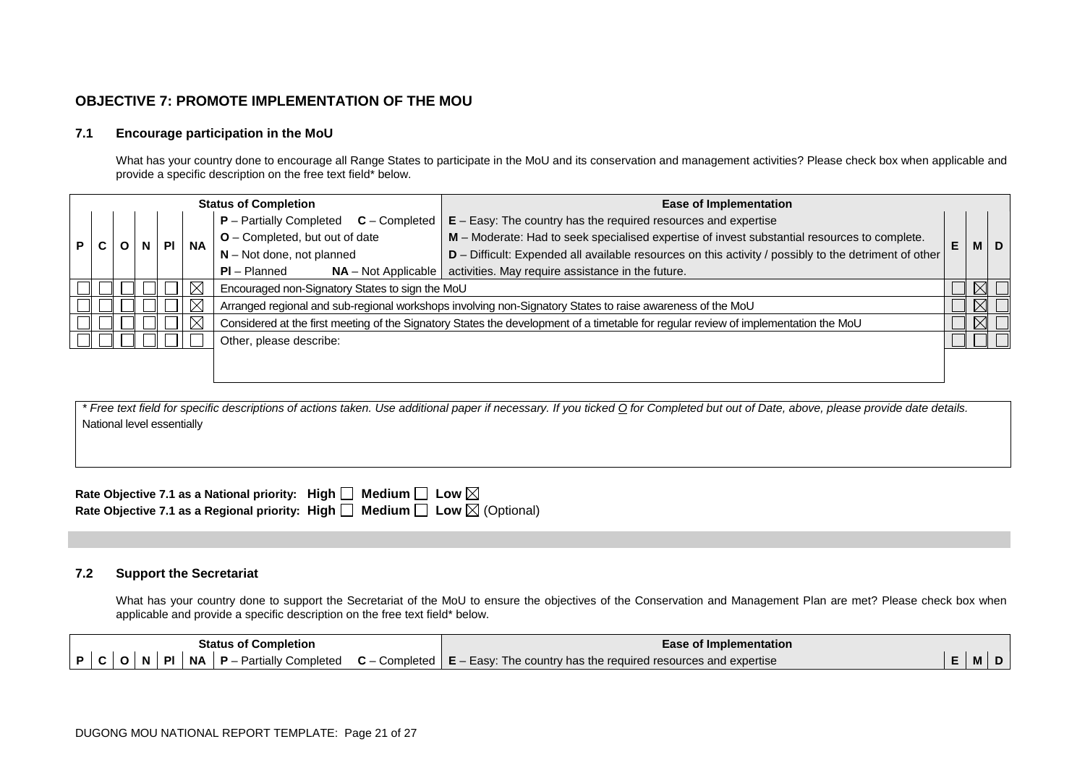### **OBJECTIVE 7: PROMOTE IMPLEMENTATION OF THE MOU**

#### **7.1 Encourage participation in the MoU**

What has your country done to encourage all Range States to participate in the MoU and its conservation and management activities? Please check box when applicable and provide a specific description on the free text field\* below.

|     | <b>Status of Completion</b> |  |   |    |             |                                                 | <b>Ease of Implementation</b>                                                                                                       |    |             |     |
|-----|-----------------------------|--|---|----|-------------|-------------------------------------------------|-------------------------------------------------------------------------------------------------------------------------------------|----|-------------|-----|
|     |                             |  |   |    |             | $P$ – Partially Completed $C$ – Completed       | $E - E$ asy: The country has the required resources and expertise                                                                   |    |             |     |
| P I | C.                          |  | N | PL | <b>NA</b>   | O - Completed, but out of date                  | M - Moderate: Had to seek specialised expertise of invest substantial resources to complete.                                        | E. |             | M D |
|     |                             |  |   |    |             | $N - Not$ done, not planned                     | D - Difficult: Expended all available resources on this activity / possibly to the detriment of other                               |    |             |     |
|     |                             |  |   |    |             | $PI - Planned$<br>$NA - Not Applicable$         | activities. May require assistance in the future.                                                                                   |    |             |     |
|     |                             |  |   |    | $\boxtimes$ | Encouraged non-Signatory States to sign the MoU |                                                                                                                                     |    |             |     |
|     |                             |  |   |    | $\boxtimes$ |                                                 | Arranged regional and sub-regional workshops involving non-Signatory States to raise awareness of the MoU                           |    | $\boxtimes$ |     |
|     |                             |  |   |    | ⊠           |                                                 | Considered at the first meeting of the Signatory States the development of a timetable for regular review of implementation the MoU |    |             |     |
|     |                             |  |   |    |             | Other, please describe:                         |                                                                                                                                     |    |             |     |
|     |                             |  |   |    |             |                                                 |                                                                                                                                     |    |             |     |
|     |                             |  |   |    |             |                                                 |                                                                                                                                     |    |             |     |

*\* Free text field for specific descriptions of actions taken. Use additional paper if necessary. If you ticked O for Completed but out of Date, above, please provide date details.* National level essentially

Rate Objective 7.1 as a National priority: High  $\square$  Medium  $\square$  Low  $\boxtimes$ Rate Objective 7.1 as a Regional priority: High  $\Box$  Medium  $\Box$  Low  $\boxtimes$  (Optional)

#### **7.2 Support the Secretariat**

What has your country done to support the Secretariat of the MoU to ensure the objectives of the Conservation and Management Plan are met? Please check box when applicable and provide a specific description on the free text field\* below.

| <b>Status of Completion</b> |  |  |  |  |           |                             |                                | l Implementation<br>-ase                                            |   |  |
|-----------------------------|--|--|--|--|-----------|-----------------------------|--------------------------------|---------------------------------------------------------------------|---|--|
| D                           |  |  |  |  | <b>NA</b> | Completed<br>⊇artiallv<br>D | ~<br>Completed<br>$\mathbf{L}$ | ∞Easv∵<br>e required resources and expertise<br>The country has the | M |  |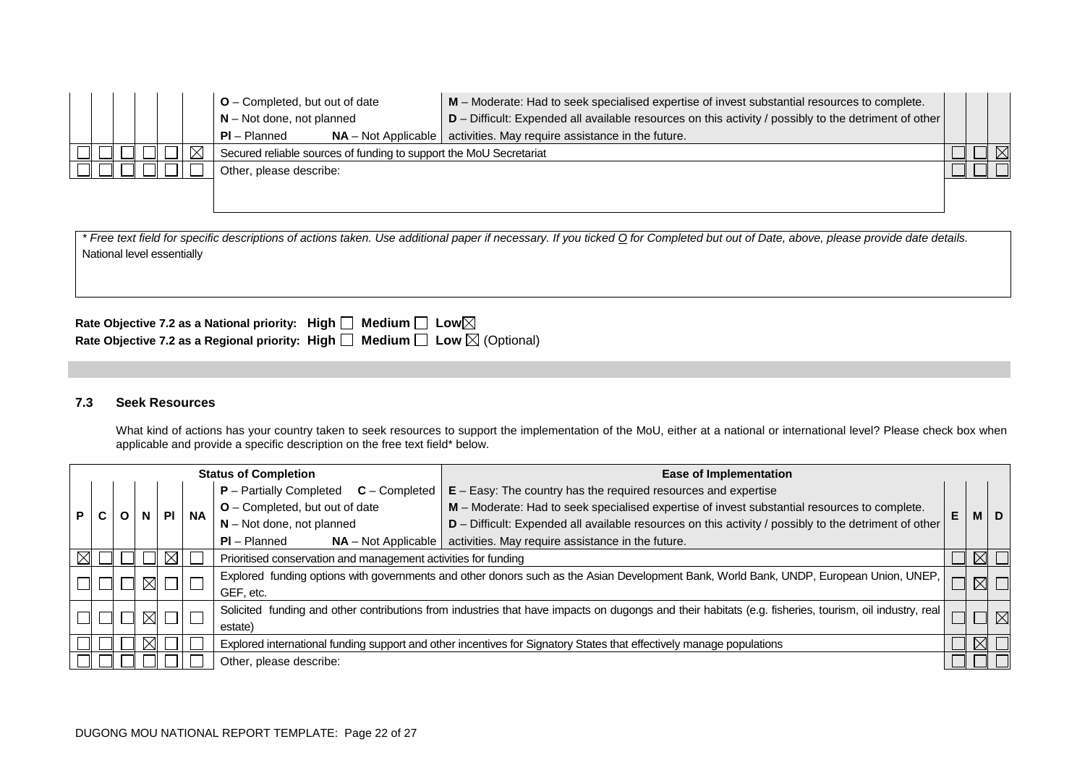|  |  |          | $O$ – Completed, but out of date<br>$N - Not$ done, not planned    | M - Moderate: Had to seek specialised expertise of invest substantial resources to complete.<br>$D$ – Difficult: Expended all available resources on this activity / possibly to the detriment of other |  |  |
|--|--|----------|--------------------------------------------------------------------|---------------------------------------------------------------------------------------------------------------------------------------------------------------------------------------------------------|--|--|
|  |  |          | $NA - Not Applicable$<br>$PI - Planned$                            | activities. May require assistance in the future.                                                                                                                                                       |  |  |
|  |  | $\times$ | Secured reliable sources of funding to support the MoU Secretariat |                                                                                                                                                                                                         |  |  |
|  |  |          | Other, please describe:                                            |                                                                                                                                                                                                         |  |  |
|  |  |          |                                                                    |                                                                                                                                                                                                         |  |  |

| ⊢ree<br>, please provide date details.<br>above.<br>. Use additional paper it necessarv.<br>Completed but out of Date.<br>. It vou ticked O tor C<br>t field for specific descriptions of actions taken.<br>י <i>tex</i> |  |
|--------------------------------------------------------------------------------------------------------------------------------------------------------------------------------------------------------------------------|--|
| National level essentially                                                                                                                                                                                               |  |

| Rate Objective 7.2 as a National priority: High $\Box$ Medium $\Box$ Low $\boxtimes$            |  |
|-------------------------------------------------------------------------------------------------|--|
| Rate Objective 7.2 as a Regional priority: High $\Box$ Medium $\Box$ Low $\boxtimes$ (Optional) |  |

# **7.3 Seek Resources**

What kind of actions has your country taken to seek resources to support the implementation of the MoU, either at a national or international level? Please check box when applicable and provide a specific description on the free text field\* below.

| <b>Status of Completion</b> |                                                                                                                      |  |             |  | <b>Ease of Implementation</b>                                     |                                         |                                                                                                                                                        |   |             |             |
|-----------------------------|----------------------------------------------------------------------------------------------------------------------|--|-------------|--|-------------------------------------------------------------------|-----------------------------------------|--------------------------------------------------------------------------------------------------------------------------------------------------------|---|-------------|-------------|
|                             | $P -$ Partially Completed<br>$C$ – Completed                                                                         |  |             |  | $E - E$ asy: The country has the required resources and expertise |                                         |                                                                                                                                                        |   |             |             |
|                             |                                                                                                                      |  |             |  | <b>NA</b>                                                         | O - Completed, but out of date          | M - Moderate: Had to seek specialised expertise of invest substantial resources to complete.                                                           | E | м           | D           |
|                             |                                                                                                                      |  |             |  |                                                                   | $N - Not$ done, not planned             | D - Difficult: Expended all available resources on this activity / possibly to the detriment of other                                                  |   |             |             |
|                             |                                                                                                                      |  |             |  |                                                                   | $PI - Planned$<br>$NA - Not Applicable$ | activities. May require assistance in the future.                                                                                                      |   |             |             |
|                             |                                                                                                                      |  |             |  | Prioritised conservation and management activities for funding    |                                         |                                                                                                                                                        |   |             |             |
|                             |                                                                                                                      |  |             |  |                                                                   |                                         | Explored funding options with governments and other donors such as the Asian Development Bank, World Bank, UNDP, European Union, UNEP,                 |   | $\boxtimes$ |             |
|                             |                                                                                                                      |  |             |  |                                                                   | GEF. etc.                               |                                                                                                                                                        |   |             |             |
|                             |                                                                                                                      |  | $\boxtimes$ |  |                                                                   |                                         | Solicited funding and other contributions from industries that have impacts on dugongs and their habitats (e.g. fisheries, tourism, oil industry, real |   |             | $\boxtimes$ |
|                             | estate)                                                                                                              |  |             |  |                                                                   |                                         |                                                                                                                                                        |   |             |             |
|                             | Explored international funding support and other incentives for Signatory States that effectively manage populations |  |             |  |                                                                   |                                         |                                                                                                                                                        |   |             |             |
| Other, please describe:     |                                                                                                                      |  |             |  |                                                                   |                                         |                                                                                                                                                        |   |             |             |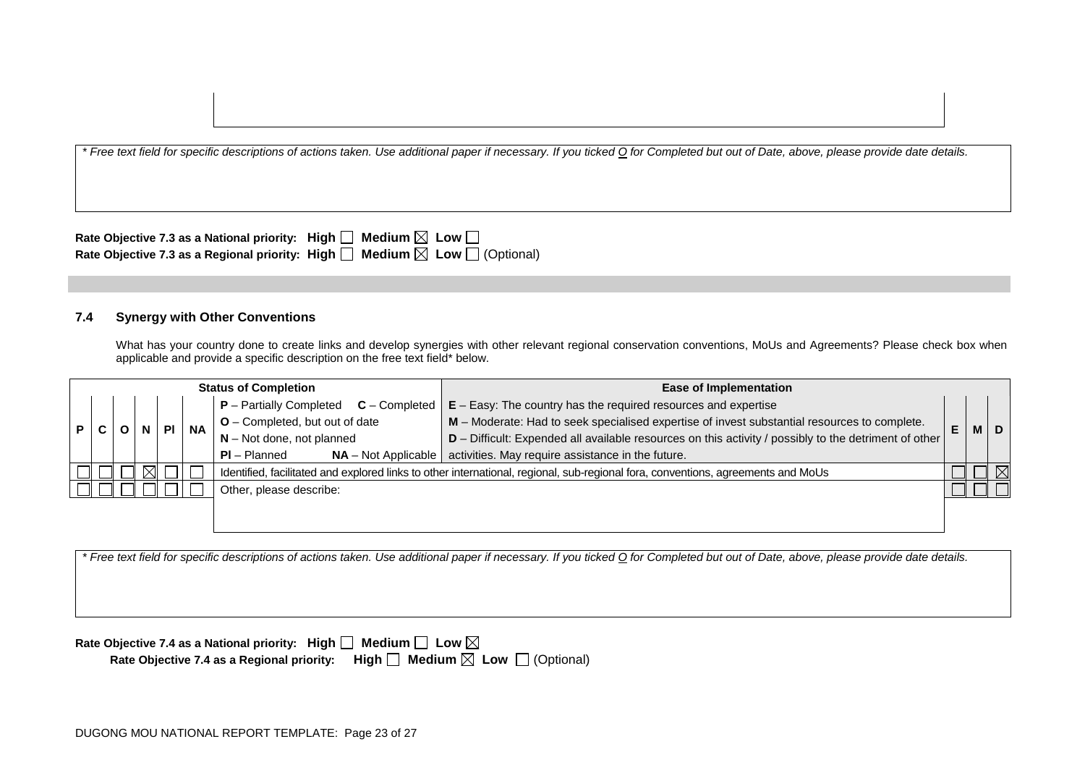| Rate Objective 7.3 as a National priority: High $\square$ Medium $\boxtimes$ Low $\square$      |  |
|-------------------------------------------------------------------------------------------------|--|
| Rate Objective 7.3 as a Regional priority: High $\Box$ Medium $\boxtimes$ Low $\Box$ (Optional) |  |

### **7.4 Synergy with Other Conventions**

What has your country done to create links and develop synergies with other relevant regional conservation conventions, MoUs and Agreements? Please check box when applicable and provide a specific description on the free text field\* below.

| <b>Status of Completion</b> |                         |  | <b>Ease of Implementation</b> |  |  |  |                                              |                                                                                                                                  |  |  |  |                             |                                                                                                       |  |  |  |  |  |  |  |                                  |                                                                                              |    |      |
|-----------------------------|-------------------------|--|-------------------------------|--|--|--|----------------------------------------------|----------------------------------------------------------------------------------------------------------------------------------|--|--|--|-----------------------------|-------------------------------------------------------------------------------------------------------|--|--|--|--|--|--|--|----------------------------------|----------------------------------------------------------------------------------------------|----|------|
|                             |                         |  |                               |  |  |  | $P -$ Partially Completed<br>$C$ – Completed | $E - E$ asy: The country has the required resources and expertise                                                                |  |  |  |                             |                                                                                                       |  |  |  |  |  |  |  |                                  |                                                                                              |    |      |
|                             | <b>NA</b><br>P C<br>PI  |  |                               |  |  |  |                                              |                                                                                                                                  |  |  |  |                             |                                                                                                       |  |  |  |  |  |  |  | $O$ – Completed, but out of date | M - Moderate: Had to seek specialised expertise of invest substantial resources to complete. | E. | MID. |
|                             |                         |  |                               |  |  |  |                                              |                                                                                                                                  |  |  |  | $N - Not$ done, not planned | D - Difficult: Expended all available resources on this activity / possibly to the detriment of other |  |  |  |  |  |  |  |                                  |                                                                                              |    |      |
|                             |                         |  |                               |  |  |  | $PI - Planned$                               | $NA$ – Not Applicable   activities. May require assistance in the future.                                                        |  |  |  |                             |                                                                                                       |  |  |  |  |  |  |  |                                  |                                                                                              |    |      |
|                             |                         |  | ıХI                           |  |  |  |                                              | Identified, facilitated and explored links to other international, regional, sub-regional fora, conventions, agreements and MoUs |  |  |  |                             |                                                                                                       |  |  |  |  |  |  |  |                                  |                                                                                              |    |      |
|                             | Other, please describe: |  |                               |  |  |  |                                              |                                                                                                                                  |  |  |  |                             |                                                                                                       |  |  |  |  |  |  |  |                                  |                                                                                              |    |      |
|                             |                         |  |                               |  |  |  |                                              |                                                                                                                                  |  |  |  |                             |                                                                                                       |  |  |  |  |  |  |  |                                  |                                                                                              |    |      |

*\* Free text field for specific descriptions of actions taken. Use additional paper if necessary. If you ticked O for Completed but out of Date, above, please provide date details.*

| Rate Objective 7.4 as a National priority: High $\Box$ Medium $\Box$ Low $\boxtimes$ |                                                                                                 |
|--------------------------------------------------------------------------------------|-------------------------------------------------------------------------------------------------|
|                                                                                      | Rate Objective 7.4 as a Regional priority: High $\Box$ Medium $\boxtimes$ Low $\Box$ (Optional) |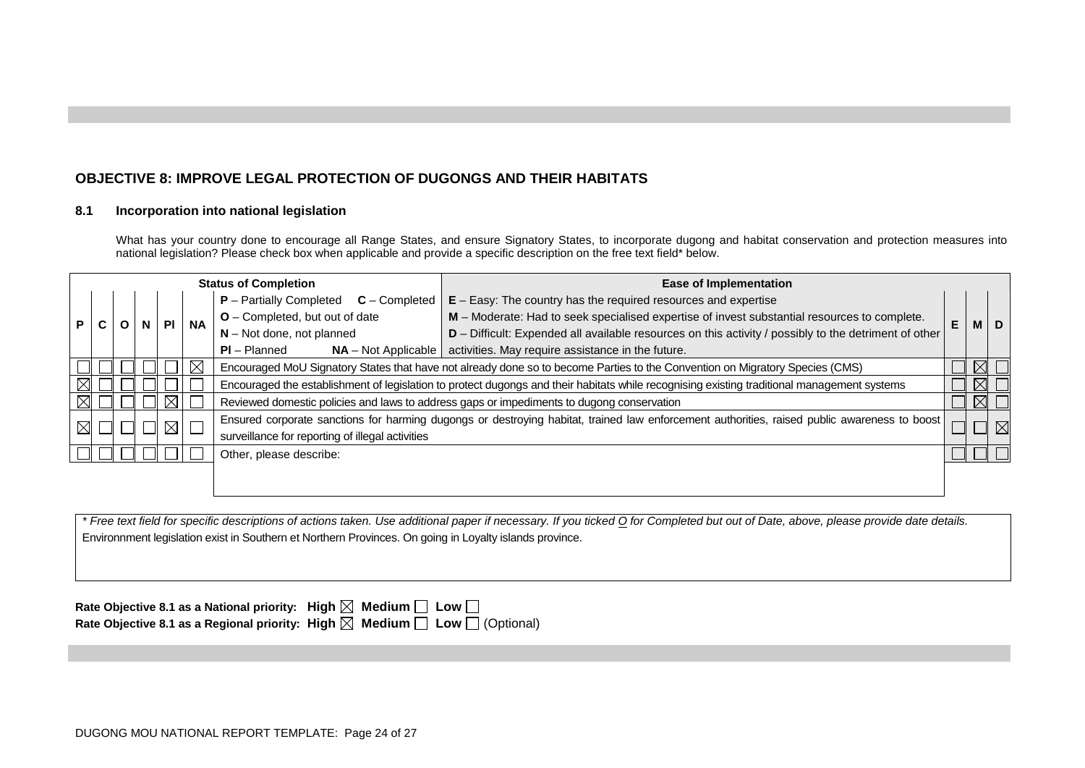# **OBJECTIVE 8: IMPROVE LEGAL PROTECTION OF DUGONGS AND THEIR HABITATS**

#### **8.1 Incorporation into national legislation**

What has your country done to encourage all Range States, and ensure Signatory States, to incorporate dugong and habitat conservation and protection measures into national legislation? Please check box when applicable and provide a specific description on the free text field\* below.

| <b>Status of Completion</b> |                                              |                                                                                                                                                                                                                 | <b>Ease of Implementation</b> |                                                                   |           |                                                                                                                                             |                                                                                                       |    |             |       |
|-----------------------------|----------------------------------------------|-----------------------------------------------------------------------------------------------------------------------------------------------------------------------------------------------------------------|-------------------------------|-------------------------------------------------------------------|-----------|---------------------------------------------------------------------------------------------------------------------------------------------|-------------------------------------------------------------------------------------------------------|----|-------------|-------|
|                             | $P$ – Partially Completed<br>$C$ – Completed |                                                                                                                                                                                                                 |                               | $E - E$ asy: The country has the required resources and expertise |           |                                                                                                                                             |                                                                                                       |    |             |       |
| P                           |                                              |                                                                                                                                                                                                                 |                               | PI                                                                | <b>NA</b> | $O$ – Completed, but out of date                                                                                                            | M - Moderate: Had to seek specialised expertise of invest substantial resources to complete.          | E. |             | M   D |
|                             | u                                            |                                                                                                                                                                                                                 |                               |                                                                   |           | $N - Not$ done, not planned                                                                                                                 | D - Difficult: Expended all available resources on this activity / possibly to the detriment of other |    |             |       |
|                             |                                              |                                                                                                                                                                                                                 |                               |                                                                   |           | $PI - Planned$<br>$NA - Not Applicable$                                                                                                     | activities. May require assistance in the future.                                                     |    |             |       |
|                             |                                              |                                                                                                                                                                                                                 |                               |                                                                   | $\times$  | Encouraged MoU Signatory States that have not already done so to become Parties to the Convention on Migratory Species (CMS)                |                                                                                                       |    | $\boxtimes$ |       |
|                             |                                              |                                                                                                                                                                                                                 |                               |                                                                   |           | Encouraged the establishment of legislation to protect dugongs and their habitats while recognising existing traditional management systems |                                                                                                       |    | $\boxtimes$ |       |
| ⊠                           |                                              |                                                                                                                                                                                                                 |                               |                                                                   |           |                                                                                                                                             | Reviewed domestic policies and laws to address gaps or impediments to dugong conservation             |    | $\boxtimes$ |       |
|                             |                                              | Ensured corporate sanctions for harming dugongs or destroying habitat, trained law enforcement authorities, raised public awareness to boost<br>$\boxtimes$<br>surveillance for reporting of illegal activities |                               |                                                                   |           | $\boxtimes$                                                                                                                                 |                                                                                                       |    |             |       |
|                             |                                              | Other, please describe:                                                                                                                                                                                         |                               |                                                                   |           |                                                                                                                                             |                                                                                                       |    |             |       |
|                             |                                              |                                                                                                                                                                                                                 |                               |                                                                   |           |                                                                                                                                             |                                                                                                       |    |             |       |

*\* Free text field for specific descriptions of actions taken. Use additional paper if necessary. If you ticked O for Completed but out of Date, above, please provide date details.* Environnment legislation exist in Southern et Northern Provinces. On going in Loyalty islands province.

| Rate Objective 8.1 as a National priority: High $\boxtimes$ Medium $\Box$ Low $\Box$ |                                                                                                 |
|--------------------------------------------------------------------------------------|-------------------------------------------------------------------------------------------------|
|                                                                                      | Rate Objective 8.1 as a Regional priority: High $\boxtimes$ Medium $\Box$ Low $\Box$ (Optional) |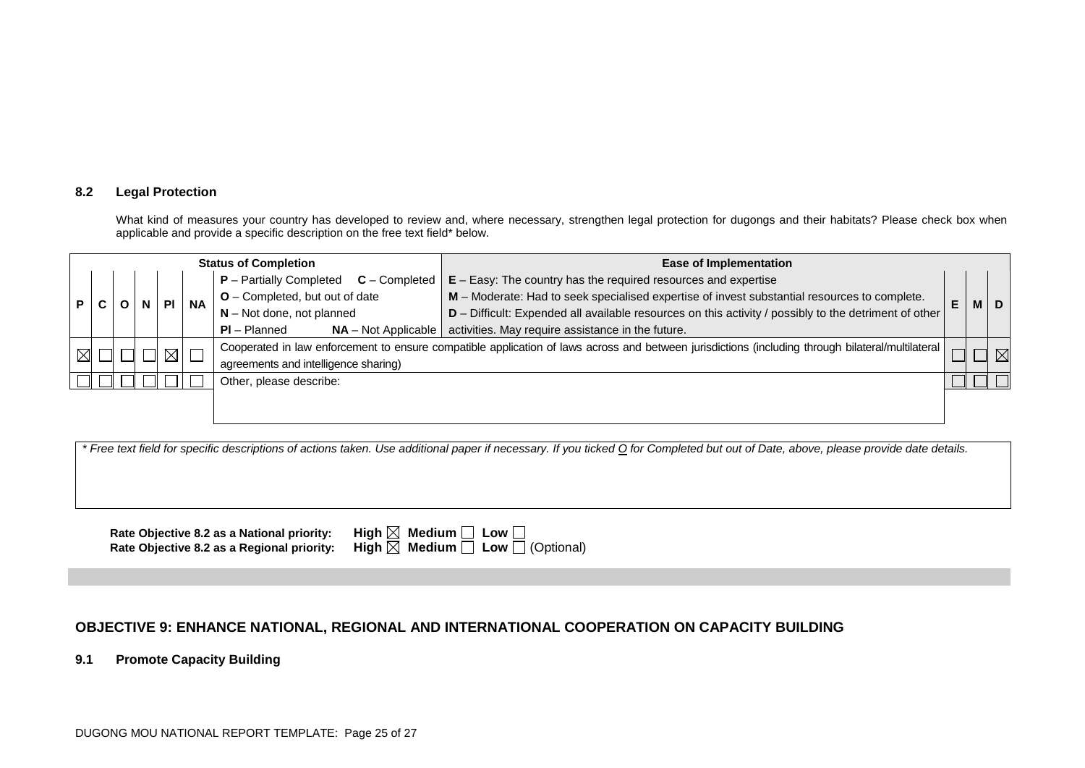#### **8.2 Legal Protection**

What kind of measures your country has developed to review and, where necessary, strengthen legal protection for dugongs and their habitats? Please check box when applicable and provide a specific description on the free text field\* below.

| <b>Status of Completion</b> |   |                                               |  |               | Ease of Implementation |                                              |                                                                                                                                                   |   |  |             |
|-----------------------------|---|-----------------------------------------------|--|---------------|------------------------|----------------------------------------------|---------------------------------------------------------------------------------------------------------------------------------------------------|---|--|-------------|
|                             |   |                                               |  |               |                        | $P -$ Partially Completed<br>$C$ – Completed | $E - E$ asy: The country has the required resources and expertise                                                                                 |   |  |             |
| <b>P</b>                    | C | $O$ – Completed, but out of date<br><b>NA</b> |  | PI            |                        |                                              | M - Moderate: Had to seek specialised expertise of invest substantial resources to complete.                                                      | E |  | M   D       |
|                             |   |                                               |  |               |                        | $N - Not$ done, not planned                  | D - Difficult: Expended all available resources on this activity / possibly to the detriment of other                                             |   |  |             |
|                             |   |                                               |  |               |                        | $PI - Planned$<br>$NA - Not Applicable$      | activities. May require assistance in the future.                                                                                                 |   |  |             |
| $\boxtimes$                 |   |                                               |  | $\boxtimes$ 1 |                        |                                              | Cooperated in law enforcement to ensure compatible application of laws across and between jurisdictions (including through bilateral/multilateral |   |  | $\boxtimes$ |
|                             |   |                                               |  |               |                        | agreements and intelligence sharing)         |                                                                                                                                                   |   |  |             |
|                             |   |                                               |  |               |                        | Other, please describe:                      |                                                                                                                                                   |   |  |             |
|                             |   |                                               |  |               |                        |                                              |                                                                                                                                                   |   |  |             |
|                             |   |                                               |  |               |                        |                                              |                                                                                                                                                   |   |  |             |

*\* Free text field for specific descriptions of actions taken. Use additional paper if necessary. If you ticked O for Completed but out of Date, above, please provide date details.*

**Rate Objective 8.2 as a National priority:** High  $\begin{bmatrix} \end{bmatrix}$ <br>Rate Objective 8.2 as a Regional priority: High  $\begin{bmatrix} \end{bmatrix}$ **Rate Objective 8.2 as a Regional priority:** 

| $\boxtimes$ Medium $\Box$ Low $\Box$ |                                                 |
|--------------------------------------|-------------------------------------------------|
|                                      | $\boxtimes$ Medium $\Box$ Low $\Box$ (Optional) |

## **OBJECTIVE 9: ENHANCE NATIONAL, REGIONAL AND INTERNATIONAL COOPERATION ON CAPACITY BUILDING**

**9.1 Promote Capacity Building**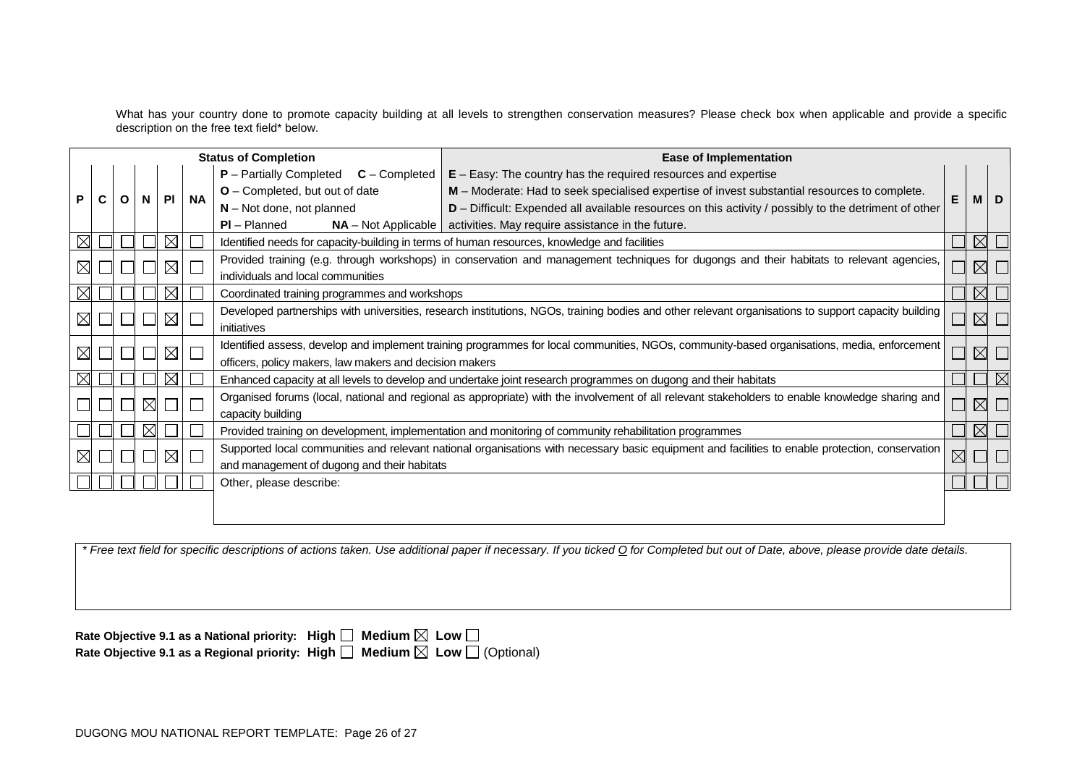What has your country done to promote capacity building at all levels to strengthen conservation measures? Please check box when applicable and provide a specific description on the free text field\* below.

| <b>Status of Completion</b>                                                                                                                                                                       |   |   |   |             | <b>Ease of Implementation</b>                                                                                                                    |                                                                                                        |                                                                                                                                                  |             |             |             |
|---------------------------------------------------------------------------------------------------------------------------------------------------------------------------------------------------|---|---|---|-------------|--------------------------------------------------------------------------------------------------------------------------------------------------|--------------------------------------------------------------------------------------------------------|--------------------------------------------------------------------------------------------------------------------------------------------------|-------------|-------------|-------------|
|                                                                                                                                                                                                   |   |   |   |             |                                                                                                                                                  | <b>P</b> - Partially Completed<br>$C$ – Completed                                                      | $E - E$ asy: The country has the required resources and expertise                                                                                |             |             |             |
| P                                                                                                                                                                                                 | С | O | N |             | <b>NA</b><br><b>PI</b>                                                                                                                           | O - Completed, but out of date                                                                         | M - Moderate: Had to seek specialised expertise of invest substantial resources to complete.                                                     |             |             | D           |
|                                                                                                                                                                                                   |   |   |   |             |                                                                                                                                                  | $N - Not$ done, not planned                                                                            | D - Difficult: Expended all available resources on this activity / possibly to the detriment of other                                            |             | M           |             |
|                                                                                                                                                                                                   |   |   |   |             |                                                                                                                                                  | $PI - Planned$                                                                                         | $NA$ – Not Applicable   activities. May require assistance in the future.                                                                        |             |             |             |
|                                                                                                                                                                                                   |   |   |   | $\times$    |                                                                                                                                                  | Identified needs for capacity-building in terms of human resources, knowledge and facilities           |                                                                                                                                                  |             | $\boxtimes$ |             |
| $\boxtimes$                                                                                                                                                                                       |   |   |   | $\boxtimes$ |                                                                                                                                                  |                                                                                                        | Provided training (e.g. through workshops) in conservation and management techniques for dugongs and their habitats to relevant agencies,        |             | $\boxtimes$ |             |
|                                                                                                                                                                                                   |   |   |   |             |                                                                                                                                                  | individuals and local communities                                                                      |                                                                                                                                                  |             |             |             |
|                                                                                                                                                                                                   |   |   |   | $\bowtie$   |                                                                                                                                                  | Coordinated training programmes and workshops                                                          |                                                                                                                                                  |             | $\bowtie$   |             |
| Developed partnerships with universities, research institutions, NGOs, training bodies and other relevant organisations to support capacity building<br>$\boxtimes$<br>$\boxtimes$<br>initiatives |   |   |   | $\boxtimes$ |                                                                                                                                                  |                                                                                                        |                                                                                                                                                  |             |             |             |
|                                                                                                                                                                                                   |   |   |   |             |                                                                                                                                                  |                                                                                                        |                                                                                                                                                  |             |             |             |
| $\boxtimes$                                                                                                                                                                                       |   |   |   | $\boxtimes$ | Identified assess, develop and implement training programmes for local communities, NGOs, community-based organisations, media, enforcement<br>Г |                                                                                                        |                                                                                                                                                  | $\boxtimes$ |             |             |
|                                                                                                                                                                                                   |   |   |   |             |                                                                                                                                                  | officers, policy makers, law makers and decision makers                                                |                                                                                                                                                  |             |             |             |
|                                                                                                                                                                                                   |   |   |   |             |                                                                                                                                                  |                                                                                                        | Enhanced capacity at all levels to develop and undertake joint research programmes on dugong and their habitats                                  |             |             | $\boxtimes$ |
|                                                                                                                                                                                                   |   |   | M |             |                                                                                                                                                  |                                                                                                        | Organised forums (local, national and regional as appropriate) with the involvement of all relevant stakeholders to enable knowledge sharing and |             | $\boxtimes$ |             |
|                                                                                                                                                                                                   |   |   |   |             |                                                                                                                                                  | capacity building                                                                                      |                                                                                                                                                  |             |             |             |
|                                                                                                                                                                                                   |   |   |   |             |                                                                                                                                                  | Provided training on development, implementation and monitoring of community rehabilitation programmes |                                                                                                                                                  |             | $\boxtimes$ |             |
|                                                                                                                                                                                                   |   |   |   | $\boxtimes$ | Supported local communities and relevant national organisations with necessary basic equipment and facilities to enable protection, conservation |                                                                                                        |                                                                                                                                                  |             |             |             |
|                                                                                                                                                                                                   |   |   |   |             |                                                                                                                                                  | and management of dugong and their habitats                                                            |                                                                                                                                                  |             |             |             |
|                                                                                                                                                                                                   |   |   |   |             |                                                                                                                                                  | Other, please describe:                                                                                |                                                                                                                                                  |             |             |             |
|                                                                                                                                                                                                   |   |   |   |             |                                                                                                                                                  |                                                                                                        |                                                                                                                                                  |             |             |             |
|                                                                                                                                                                                                   |   |   |   |             |                                                                                                                                                  |                                                                                                        |                                                                                                                                                  |             |             |             |

*\* Free text field for specific descriptions of actions taken. Use additional paper if necessary. If you ticked O for Completed but out of Date, above, please provide date details.*

| Rate Objective 9.1 as a National priority: High $\Box$ Medium $\boxtimes$ Low $\Box$            |  |
|-------------------------------------------------------------------------------------------------|--|
| Rate Objective 9.1 as a Regional priority: High $\Box$ Medium $\boxtimes$ Low $\Box$ (Optional) |  |